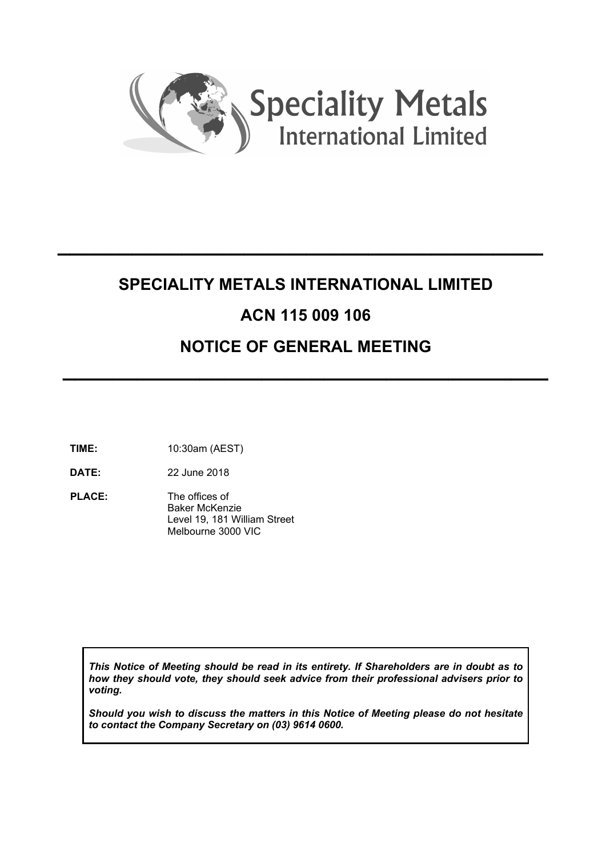

# **SPECIALITY METALS INTERNATIONAL LIMITED ACN 115 009 106 NOTICE OF GENERAL MEETING**

 $\mathcal{L}=\mathcal{L}^{\mathcal{L}}$  , where  $\mathcal{L}^{\mathcal{L}}$  , we have  $\mathcal{L}^{\mathcal{L}}$  , we have  $\mathcal{L}^{\mathcal{L}}$  , we have  $\mathcal{L}^{\mathcal{L}}$ 

 $\mathcal{L}=\mathcal{L}^{\mathcal{L}}$  , where  $\mathcal{L}^{\mathcal{L}}$  , we have  $\mathcal{L}^{\mathcal{L}}$  , we have  $\mathcal{L}^{\mathcal{L}}$  , we have  $\mathcal{L}^{\mathcal{L}}$ 

**TIME:** 10:30am (AEST)

**DATE:** 22 June 2018

**PLACE:** The offices of Baker McKenzie Level 19, 181 William Street Melbourne 3000 VIC

*This Notice of Meeting should be read in its entirety. If Shareholders are in doubt as to how they should vote, they should seek advice from their professional advisers prior to voting.* 

*Should you wish to discuss the matters in this Notice of Meeting please do not hesitate to contact the Company Secretary on (03) 9614 0600.*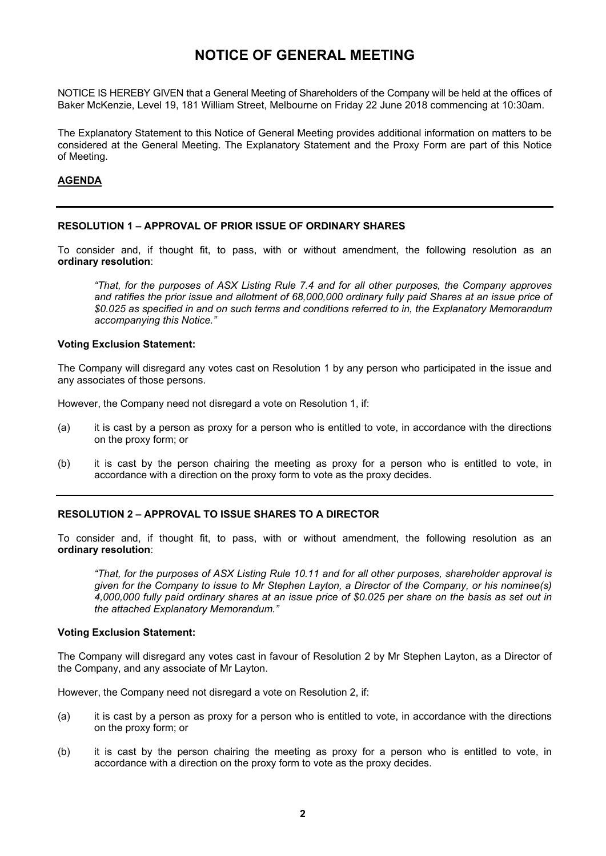# **NOTICE OF GENERAL MEETING**

NOTICE IS HEREBY GIVEN that a General Meeting of Shareholders of the Company will be held at the offices of Baker McKenzie, Level 19, 181 William Street, Melbourne on Friday 22 June 2018 commencing at 10:30am.

The Explanatory Statement to this Notice of General Meeting provides additional information on matters to be considered at the General Meeting. The Explanatory Statement and the Proxy Form are part of this Notice of Meeting.

#### **AGENDA**

#### **RESOLUTION 1 – APPROVAL OF PRIOR ISSUE OF ORDINARY SHARES**

To consider and, if thought fit, to pass, with or without amendment, the following resolution as an **ordinary resolution**:

*"That, for the purposes of ASX Listing Rule 7.4 and for all other purposes, the Company approves and ratifies the prior issue and allotment of 68,000,000 ordinary fully paid Shares at an issue price of \$0.025 as specified in and on such terms and conditions referred to in, the Explanatory Memorandum accompanying this Notice."* 

#### **Voting Exclusion Statement:**

The Company will disregard any votes cast on Resolution 1 by any person who participated in the issue and any associates of those persons.

However, the Company need not disregard a vote on Resolution 1, if:

- (a) it is cast by a person as proxy for a person who is entitled to vote, in accordance with the directions on the proxy form; or
- (b) it is cast by the person chairing the meeting as proxy for a person who is entitled to vote, in accordance with a direction on the proxy form to vote as the proxy decides.

#### **RESOLUTION 2 – APPROVAL TO ISSUE SHARES TO A DIRECTOR**

To consider and, if thought fit, to pass, with or without amendment, the following resolution as an **ordinary resolution**:

*"That, for the purposes of ASX Listing Rule 10.11 and for all other purposes, shareholder approval is given for the Company to issue to Mr Stephen Layton, a Director of the Company, or his nominee(s) 4,000,000 fully paid ordinary shares at an issue price of \$0.025 per share on the basis as set out in the attached Explanatory Memorandum."* 

#### **Voting Exclusion Statement:**

The Company will disregard any votes cast in favour of Resolution 2 by Mr Stephen Layton, as a Director of the Company, and any associate of Mr Layton.

However, the Company need not disregard a vote on Resolution 2, if:

- (a) it is cast by a person as proxy for a person who is entitled to vote, in accordance with the directions on the proxy form; or
- (b) it is cast by the person chairing the meeting as proxy for a person who is entitled to vote, in accordance with a direction on the proxy form to vote as the proxy decides.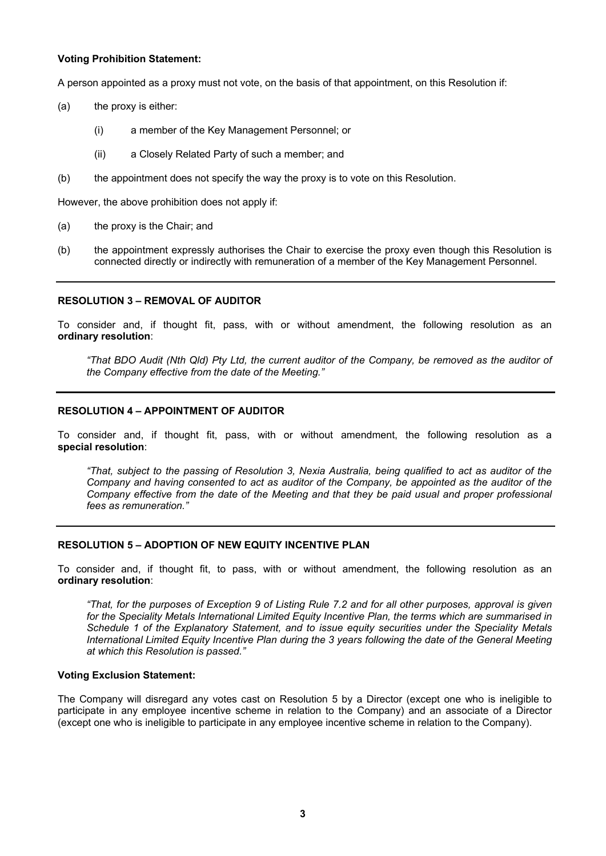#### **Voting Prohibition Statement:**

A person appointed as a proxy must not vote, on the basis of that appointment, on this Resolution if:

- (a) the proxy is either:
	- (i) a member of the Key Management Personnel; or
	- (ii) a Closely Related Party of such a member; and
- (b) the appointment does not specify the way the proxy is to vote on this Resolution.

However, the above prohibition does not apply if:

- (a) the proxy is the Chair; and
- (b) the appointment expressly authorises the Chair to exercise the proxy even though this Resolution is connected directly or indirectly with remuneration of a member of the Key Management Personnel.

# **RESOLUTION 3 – REMOVAL OF AUDITOR**

To consider and, if thought fit, pass, with or without amendment, the following resolution as an **ordinary resolution**:

*"That BDO Audit (Nth Qld) Pty Ltd, the current auditor of the Company, be removed as the auditor of the Company effective from the date of the Meeting."* 

# **RESOLUTION 4 – APPOINTMENT OF AUDITOR**

To consider and, if thought fit, pass, with or without amendment, the following resolution as a **special resolution**:

*"That, subject to the passing of Resolution 3, Nexia Australia, being qualified to act as auditor of the Company and having consented to act as auditor of the Company, be appointed as the auditor of the Company effective from the date of the Meeting and that they be paid usual and proper professional fees as remuneration."* 

#### **RESOLUTION 5 – ADOPTION OF NEW EQUITY INCENTIVE PLAN**

To consider and, if thought fit, to pass, with or without amendment, the following resolution as an **ordinary resolution**:

*"That, for the purposes of Exception 9 of Listing Rule 7.2 and for all other purposes, approval is given for the Speciality Metals International Limited Equity Incentive Plan, the terms which are summarised in Schedule 1 of the Explanatory Statement, and to issue equity securities under the Speciality Metals International Limited Equity Incentive Plan during the 3 years following the date of the General Meeting at which this Resolution is passed."* 

#### **Voting Exclusion Statement:**

The Company will disregard any votes cast on Resolution 5 by a Director (except one who is ineligible to participate in any employee incentive scheme in relation to the Company) and an associate of a Director (except one who is ineligible to participate in any employee incentive scheme in relation to the Company).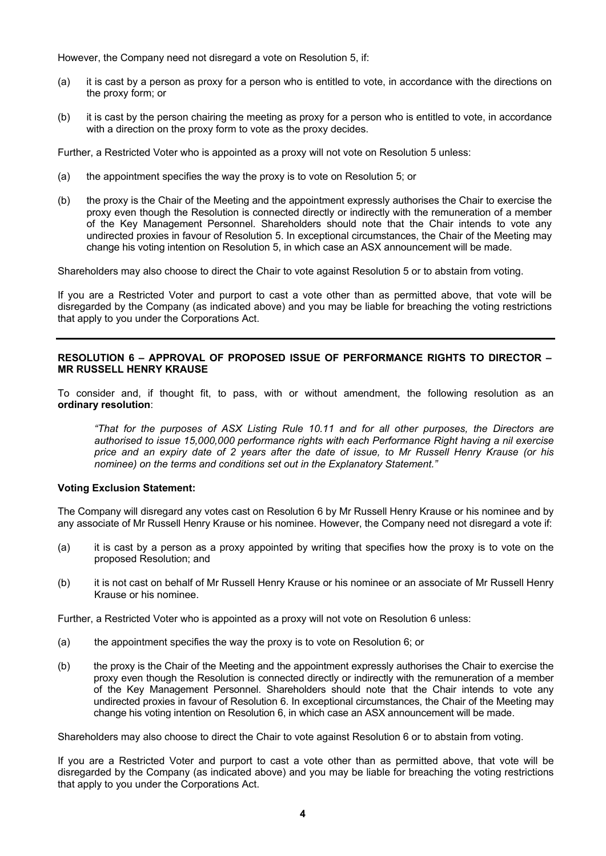However, the Company need not disregard a vote on Resolution 5, if:

- (a) it is cast by a person as proxy for a person who is entitled to vote, in accordance with the directions on the proxy form; or
- (b) it is cast by the person chairing the meeting as proxy for a person who is entitled to vote, in accordance with a direction on the proxy form to vote as the proxy decides.

Further, a Restricted Voter who is appointed as a proxy will not vote on Resolution 5 unless:

- (a) the appointment specifies the way the proxy is to vote on Resolution 5; or
- (b) the proxy is the Chair of the Meeting and the appointment expressly authorises the Chair to exercise the proxy even though the Resolution is connected directly or indirectly with the remuneration of a member of the Key Management Personnel. Shareholders should note that the Chair intends to vote any undirected proxies in favour of Resolution 5. In exceptional circumstances, the Chair of the Meeting may change his voting intention on Resolution 5, in which case an ASX announcement will be made.

Shareholders may also choose to direct the Chair to vote against Resolution 5 or to abstain from voting.

If you are a Restricted Voter and purport to cast a vote other than as permitted above, that vote will be disregarded by the Company (as indicated above) and you may be liable for breaching the voting restrictions that apply to you under the Corporations Act.

#### **RESOLUTION 6 – APPROVAL OF PROPOSED ISSUE OF PERFORMANCE RIGHTS TO DIRECTOR – MR RUSSELL HENRY KRAUSE**

To consider and, if thought fit, to pass, with or without amendment, the following resolution as an **ordinary resolution**:

*"That for the purposes of ASX Listing Rule 10.11 and for all other purposes, the Directors are authorised to issue 15,000,000 performance rights with each Performance Right having a nil exercise price and an expiry date of 2 years after the date of issue, to Mr Russell Henry Krause (or his nominee) on the terms and conditions set out in the Explanatory Statement."* 

# **Voting Exclusion Statement:**

The Company will disregard any votes cast on Resolution 6 by Mr Russell Henry Krause or his nominee and by any associate of Mr Russell Henry Krause or his nominee. However, the Company need not disregard a vote if:

- (a) it is cast by a person as a proxy appointed by writing that specifies how the proxy is to vote on the proposed Resolution; and
- (b) it is not cast on behalf of Mr Russell Henry Krause or his nominee or an associate of Mr Russell Henry Krause or his nominee.

Further, a Restricted Voter who is appointed as a proxy will not vote on Resolution 6 unless:

- (a) the appointment specifies the way the proxy is to vote on Resolution 6; or
- (b) the proxy is the Chair of the Meeting and the appointment expressly authorises the Chair to exercise the proxy even though the Resolution is connected directly or indirectly with the remuneration of a member of the Key Management Personnel. Shareholders should note that the Chair intends to vote any undirected proxies in favour of Resolution 6. In exceptional circumstances, the Chair of the Meeting may change his voting intention on Resolution 6, in which case an ASX announcement will be made.

Shareholders may also choose to direct the Chair to vote against Resolution 6 or to abstain from voting.

If you are a Restricted Voter and purport to cast a vote other than as permitted above, that vote will be disregarded by the Company (as indicated above) and you may be liable for breaching the voting restrictions that apply to you under the Corporations Act.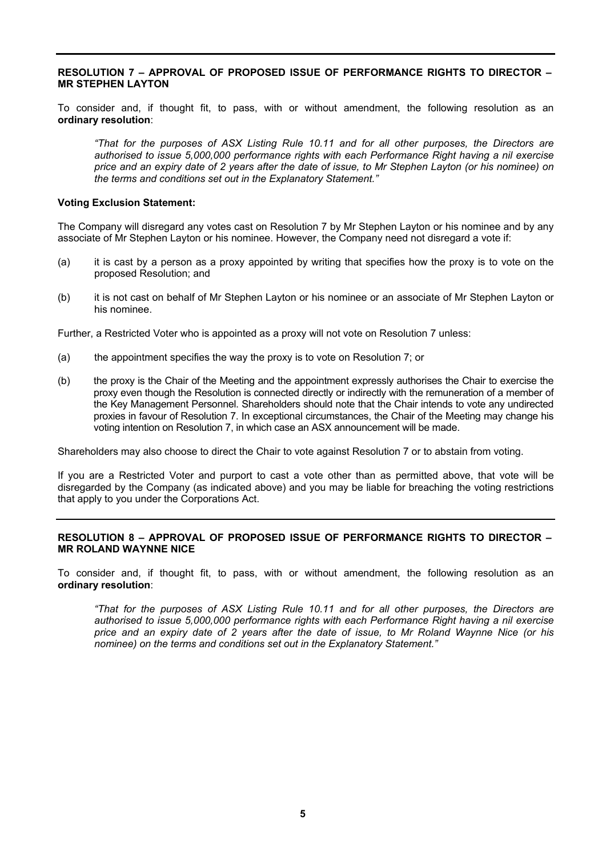#### **RESOLUTION 7 – APPROVAL OF PROPOSED ISSUE OF PERFORMANCE RIGHTS TO DIRECTOR – MR STEPHEN LAYTON**

To consider and, if thought fit, to pass, with or without amendment, the following resolution as an **ordinary resolution**:

*"That for the purposes of ASX Listing Rule 10.11 and for all other purposes, the Directors are authorised to issue 5,000,000 performance rights with each Performance Right having a nil exercise price and an expiry date of 2 years after the date of issue, to Mr Stephen Layton (or his nominee) on the terms and conditions set out in the Explanatory Statement."* 

#### **Voting Exclusion Statement:**

The Company will disregard any votes cast on Resolution 7 by Mr Stephen Layton or his nominee and by any associate of Mr Stephen Layton or his nominee. However, the Company need not disregard a vote if:

- (a) it is cast by a person as a proxy appointed by writing that specifies how the proxy is to vote on the proposed Resolution; and
- (b) it is not cast on behalf of Mr Stephen Layton or his nominee or an associate of Mr Stephen Layton or his nominee.

Further, a Restricted Voter who is appointed as a proxy will not vote on Resolution 7 unless:

- (a) the appointment specifies the way the proxy is to vote on Resolution 7; or
- (b) the proxy is the Chair of the Meeting and the appointment expressly authorises the Chair to exercise the proxy even though the Resolution is connected directly or indirectly with the remuneration of a member of the Key Management Personnel. Shareholders should note that the Chair intends to vote any undirected proxies in favour of Resolution 7. In exceptional circumstances, the Chair of the Meeting may change his voting intention on Resolution 7, in which case an ASX announcement will be made.

Shareholders may also choose to direct the Chair to vote against Resolution 7 or to abstain from voting.

If you are a Restricted Voter and purport to cast a vote other than as permitted above, that vote will be disregarded by the Company (as indicated above) and you may be liable for breaching the voting restrictions that apply to you under the Corporations Act.

#### **RESOLUTION 8 – APPROVAL OF PROPOSED ISSUE OF PERFORMANCE RIGHTS TO DIRECTOR – MR ROLAND WAYNNE NICE**

To consider and, if thought fit, to pass, with or without amendment, the following resolution as an **ordinary resolution**:

*"That for the purposes of ASX Listing Rule 10.11 and for all other purposes, the Directors are authorised to issue 5,000,000 performance rights with each Performance Right having a nil exercise price and an expiry date of 2 years after the date of issue, to Mr Roland Waynne Nice (or his nominee) on the terms and conditions set out in the Explanatory Statement."*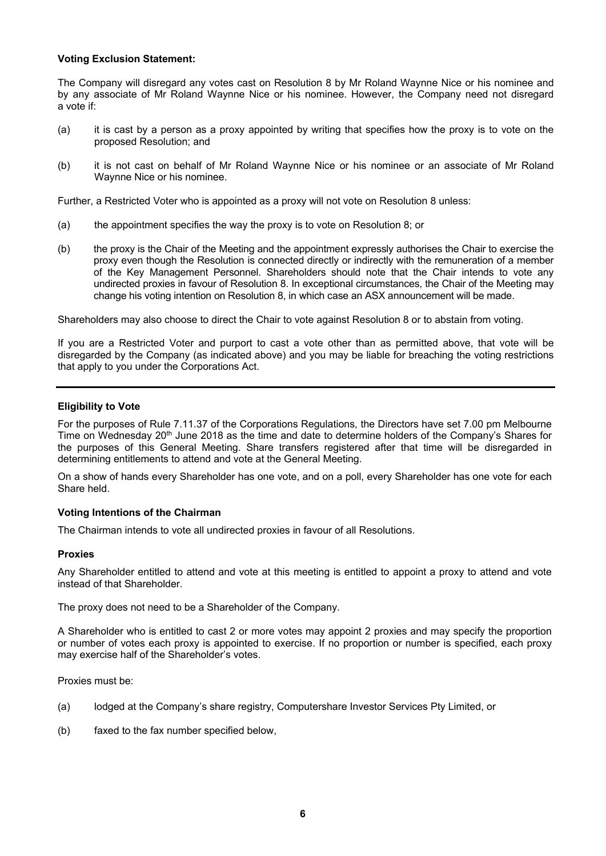#### **Voting Exclusion Statement:**

The Company will disregard any votes cast on Resolution 8 by Mr Roland Waynne Nice or his nominee and by any associate of Mr Roland Waynne Nice or his nominee. However, the Company need not disregard a vote if:

- (a) it is cast by a person as a proxy appointed by writing that specifies how the proxy is to vote on the proposed Resolution; and
- (b) it is not cast on behalf of Mr Roland Waynne Nice or his nominee or an associate of Mr Roland Waynne Nice or his nominee.

Further, a Restricted Voter who is appointed as a proxy will not vote on Resolution 8 unless:

- (a) the appointment specifies the way the proxy is to vote on Resolution 8; or
- (b) the proxy is the Chair of the Meeting and the appointment expressly authorises the Chair to exercise the proxy even though the Resolution is connected directly or indirectly with the remuneration of a member of the Key Management Personnel. Shareholders should note that the Chair intends to vote any undirected proxies in favour of Resolution 8. In exceptional circumstances, the Chair of the Meeting may change his voting intention on Resolution 8, in which case an ASX announcement will be made.

Shareholders may also choose to direct the Chair to vote against Resolution 8 or to abstain from voting.

If you are a Restricted Voter and purport to cast a vote other than as permitted above, that vote will be disregarded by the Company (as indicated above) and you may be liable for breaching the voting restrictions that apply to you under the Corporations Act.

# **Eligibility to Vote**

For the purposes of Rule 7.11.37 of the Corporations Regulations, the Directors have set 7.00 pm Melbourne Time on Wednesday 20<sup>th</sup> June 2018 as the time and date to determine holders of the Company's Shares for the purposes of this General Meeting. Share transfers registered after that time will be disregarded in determining entitlements to attend and vote at the General Meeting.

On a show of hands every Shareholder has one vote, and on a poll, every Shareholder has one vote for each Share held.

#### **Voting Intentions of the Chairman**

The Chairman intends to vote all undirected proxies in favour of all Resolutions.

#### **Proxies**

Any Shareholder entitled to attend and vote at this meeting is entitled to appoint a proxy to attend and vote instead of that Shareholder.

The proxy does not need to be a Shareholder of the Company.

A Shareholder who is entitled to cast 2 or more votes may appoint 2 proxies and may specify the proportion or number of votes each proxy is appointed to exercise. If no proportion or number is specified, each proxy may exercise half of the Shareholder's votes.

Proxies must be:

- (a) lodged at the Company's share registry, Computershare Investor Services Pty Limited, or
- (b) faxed to the fax number specified below,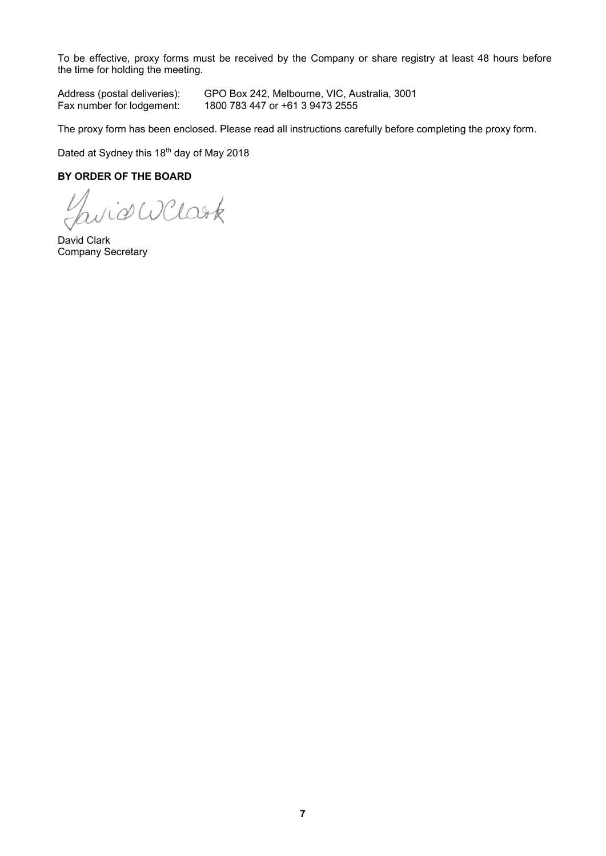To be effective, proxy forms must be received by the Company or share registry at least 48 hours before the time for holding the meeting.

Address (postal deliveries): GPO Box 242, Melbourne, VIC, Australia, 3001<br>Fax number for lodgement: 1800 783 447 or +61 3 9473 2555 1800 783 447 or +61 3 9473 2555

The proxy form has been enclosed. Please read all instructions carefully before completing the proxy form.

Dated at Sydney this 18<sup>th</sup> day of May 2018

# **BY ORDER OF THE BOARD**

*Se WClask* 

David Clark Company Secretary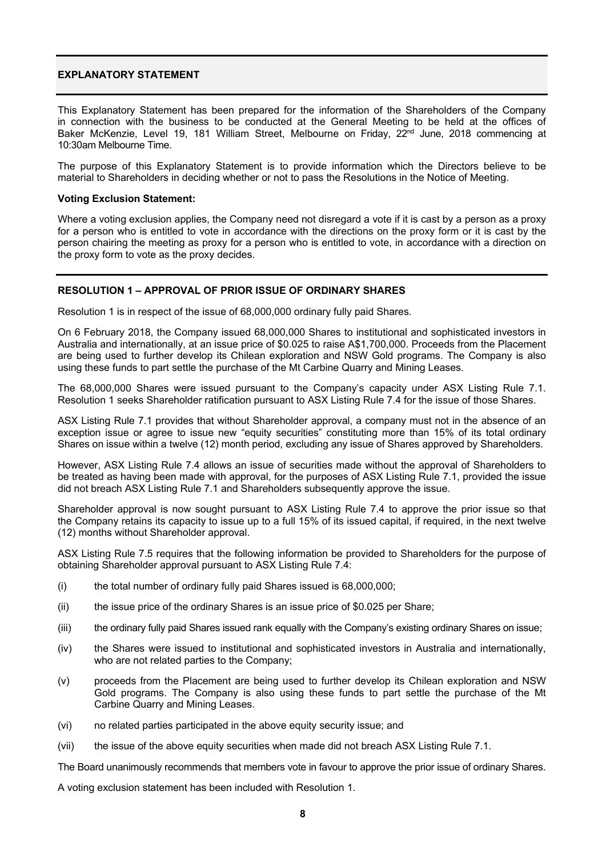# **EXPLANATORY STATEMENT**

This Explanatory Statement has been prepared for the information of the Shareholders of the Company in connection with the business to be conducted at the General Meeting to be held at the offices of Baker McKenzie, Level 19, 181 William Street, Melbourne on Friday, 22<sup>nd</sup> June, 2018 commencing at 10:30am Melbourne Time.

The purpose of this Explanatory Statement is to provide information which the Directors believe to be material to Shareholders in deciding whether or not to pass the Resolutions in the Notice of Meeting.

#### **Voting Exclusion Statement:**

Where a voting exclusion applies, the Company need not disregard a vote if it is cast by a person as a proxy for a person who is entitled to vote in accordance with the directions on the proxy form or it is cast by the person chairing the meeting as proxy for a person who is entitled to vote, in accordance with a direction on the proxy form to vote as the proxy decides.

# **RESOLUTION 1 – APPROVAL OF PRIOR ISSUE OF ORDINARY SHARES**

Resolution 1 is in respect of the issue of 68,000,000 ordinary fully paid Shares.

On 6 February 2018, the Company issued 68,000,000 Shares to institutional and sophisticated investors in Australia and internationally, at an issue price of \$0.025 to raise A\$1,700,000. Proceeds from the Placement are being used to further develop its Chilean exploration and NSW Gold programs. The Company is also using these funds to part settle the purchase of the Mt Carbine Quarry and Mining Leases.

The 68,000,000 Shares were issued pursuant to the Company's capacity under ASX Listing Rule 7.1. Resolution 1 seeks Shareholder ratification pursuant to ASX Listing Rule 7.4 for the issue of those Shares.

ASX Listing Rule 7.1 provides that without Shareholder approval, a company must not in the absence of an exception issue or agree to issue new "equity securities" constituting more than 15% of its total ordinary Shares on issue within a twelve (12) month period, excluding any issue of Shares approved by Shareholders.

However, ASX Listing Rule 7.4 allows an issue of securities made without the approval of Shareholders to be treated as having been made with approval, for the purposes of ASX Listing Rule 7.1, provided the issue did not breach ASX Listing Rule 7.1 and Shareholders subsequently approve the issue.

Shareholder approval is now sought pursuant to ASX Listing Rule 7.4 to approve the prior issue so that the Company retains its capacity to issue up to a full 15% of its issued capital, if required, in the next twelve (12) months without Shareholder approval.

ASX Listing Rule 7.5 requires that the following information be provided to Shareholders for the purpose of obtaining Shareholder approval pursuant to ASX Listing Rule 7.4:

- (i) the total number of ordinary fully paid Shares issued is 68,000,000;
- (ii) the issue price of the ordinary Shares is an issue price of \$0.025 per Share;
- (iii) the ordinary fully paid Shares issued rank equally with the Company's existing ordinary Shares on issue;
- (iv) the Shares were issued to institutional and sophisticated investors in Australia and internationally, who are not related parties to the Company;
- (v) proceeds from the Placement are being used to further develop its Chilean exploration and NSW Gold programs. The Company is also using these funds to part settle the purchase of the Mt Carbine Quarry and Mining Leases.
- (vi) no related parties participated in the above equity security issue; and
- (vii) the issue of the above equity securities when made did not breach ASX Listing Rule 7.1.

The Board unanimously recommends that members vote in favour to approve the prior issue of ordinary Shares.

A voting exclusion statement has been included with Resolution 1.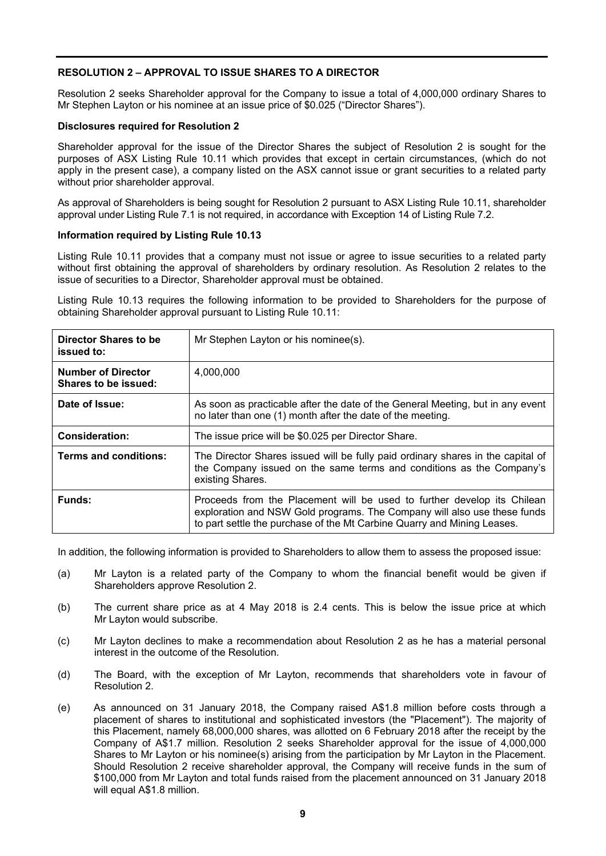# **RESOLUTION 2 – APPROVAL TO ISSUE SHARES TO A DIRECTOR**

Resolution 2 seeks Shareholder approval for the Company to issue a total of 4,000,000 ordinary Shares to Mr Stephen Layton or his nominee at an issue price of \$0.025 ("Director Shares").

#### **Disclosures required for Resolution 2**

Shareholder approval for the issue of the Director Shares the subject of Resolution 2 is sought for the purposes of ASX Listing Rule 10.11 which provides that except in certain circumstances, (which do not apply in the present case), a company listed on the ASX cannot issue or grant securities to a related party without prior shareholder approval.

As approval of Shareholders is being sought for Resolution 2 pursuant to ASX Listing Rule 10.11, shareholder approval under Listing Rule 7.1 is not required, in accordance with Exception 14 of Listing Rule 7.2.

#### **Information required by Listing Rule 10.13**

Listing Rule 10.11 provides that a company must not issue or agree to issue securities to a related party without first obtaining the approval of shareholders by ordinary resolution. As Resolution 2 relates to the issue of securities to a Director, Shareholder approval must be obtained.

Listing Rule 10.13 requires the following information to be provided to Shareholders for the purpose of obtaining Shareholder approval pursuant to Listing Rule 10.11:

| Director Shares to be<br>issued to:               | Mr Stephen Layton or his nominee(s).                                                                                                                                                                                           |
|---------------------------------------------------|--------------------------------------------------------------------------------------------------------------------------------------------------------------------------------------------------------------------------------|
| <b>Number of Director</b><br>Shares to be issued: | 4.000.000                                                                                                                                                                                                                      |
| Date of Issue:                                    | As soon as practicable after the date of the General Meeting, but in any event<br>no later than one (1) month after the date of the meeting.                                                                                   |
| Consideration:                                    | The issue price will be \$0.025 per Director Share.                                                                                                                                                                            |
| <b>Terms and conditions:</b>                      | The Director Shares issued will be fully paid ordinary shares in the capital of<br>the Company issued on the same terms and conditions as the Company's<br>existing Shares.                                                    |
| Funds:                                            | Proceeds from the Placement will be used to further develop its Chilean<br>exploration and NSW Gold programs. The Company will also use these funds<br>to part settle the purchase of the Mt Carbine Quarry and Mining Leases. |

In addition, the following information is provided to Shareholders to allow them to assess the proposed issue:

- (a) Mr Layton is a related party of the Company to whom the financial benefit would be given if Shareholders approve Resolution 2.
- (b) The current share price as at 4 May 2018 is 2.4 cents. This is below the issue price at which Mr Layton would subscribe.
- (c) Mr Layton declines to make a recommendation about Resolution 2 as he has a material personal interest in the outcome of the Resolution.
- (d) The Board, with the exception of Mr Layton, recommends that shareholders vote in favour of Resolution 2.
- (e) As announced on 31 January 2018, the Company raised A\$1.8 million before costs through a placement of shares to institutional and sophisticated investors (the "Placement"). The majority of this Placement, namely 68,000,000 shares, was allotted on 6 February 2018 after the receipt by the Company of A\$1.7 million. Resolution 2 seeks Shareholder approval for the issue of 4,000,000 Shares to Mr Layton or his nominee(s) arising from the participation by Mr Layton in the Placement. Should Resolution 2 receive shareholder approval, the Company will receive funds in the sum of \$100,000 from Mr Layton and total funds raised from the placement announced on 31 January 2018 will equal A\$1.8 million.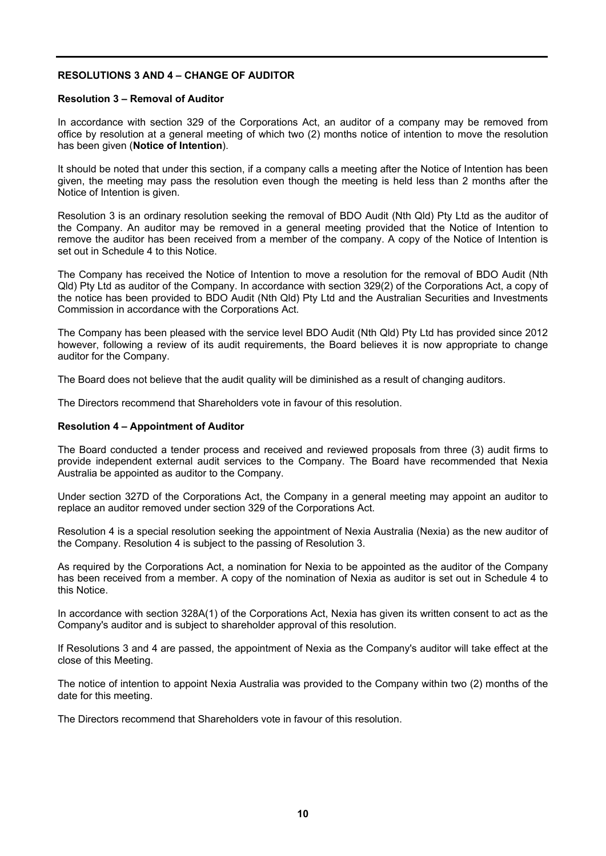# **RESOLUTIONS 3 AND 4 – CHANGE OF AUDITOR**

#### **Resolution 3 – Removal of Auditor**

In accordance with section 329 of the Corporations Act, an auditor of a company may be removed from office by resolution at a general meeting of which two (2) months notice of intention to move the resolution has been given (**Notice of Intention**).

It should be noted that under this section, if a company calls a meeting after the Notice of Intention has been given, the meeting may pass the resolution even though the meeting is held less than 2 months after the Notice of Intention is given.

Resolution 3 is an ordinary resolution seeking the removal of BDO Audit (Nth Qld) Pty Ltd as the auditor of the Company. An auditor may be removed in a general meeting provided that the Notice of Intention to remove the auditor has been received from a member of the company. A copy of the Notice of Intention is set out in Schedule 4 to this Notice.

The Company has received the Notice of Intention to move a resolution for the removal of BDO Audit (Nth Qld) Pty Ltd as auditor of the Company. In accordance with section 329(2) of the Corporations Act, a copy of the notice has been provided to BDO Audit (Nth Qld) Pty Ltd and the Australian Securities and Investments Commission in accordance with the Corporations Act.

The Company has been pleased with the service level BDO Audit (Nth Qld) Pty Ltd has provided since 2012 however, following a review of its audit requirements, the Board believes it is now appropriate to change auditor for the Company.

The Board does not believe that the audit quality will be diminished as a result of changing auditors.

The Directors recommend that Shareholders vote in favour of this resolution.

#### **Resolution 4 – Appointment of Auditor**

The Board conducted a tender process and received and reviewed proposals from three (3) audit firms to provide independent external audit services to the Company. The Board have recommended that Nexia Australia be appointed as auditor to the Company.

Under section 327D of the Corporations Act, the Company in a general meeting may appoint an auditor to replace an auditor removed under section 329 of the Corporations Act.

Resolution 4 is a special resolution seeking the appointment of Nexia Australia (Nexia) as the new auditor of the Company. Resolution 4 is subject to the passing of Resolution 3.

As required by the Corporations Act, a nomination for Nexia to be appointed as the auditor of the Company has been received from a member. A copy of the nomination of Nexia as auditor is set out in Schedule 4 to this Notice.

In accordance with section 328A(1) of the Corporations Act, Nexia has given its written consent to act as the Company's auditor and is subject to shareholder approval of this resolution.

If Resolutions 3 and 4 are passed, the appointment of Nexia as the Company's auditor will take effect at the close of this Meeting.

The notice of intention to appoint Nexia Australia was provided to the Company within two (2) months of the date for this meeting.

The Directors recommend that Shareholders vote in favour of this resolution.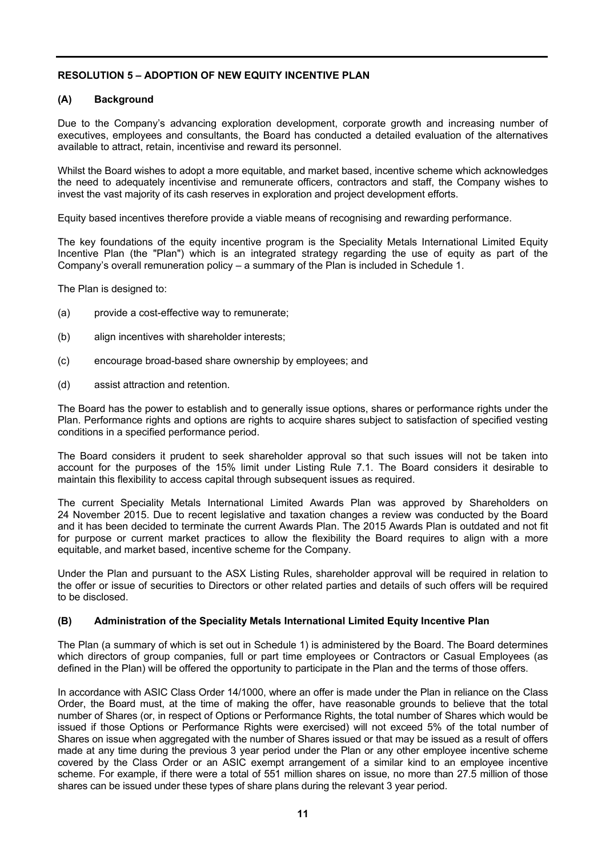# **RESOLUTION 5 – ADOPTION OF NEW EQUITY INCENTIVE PLAN**

# **(A) Background**

Due to the Company's advancing exploration development, corporate growth and increasing number of executives, employees and consultants, the Board has conducted a detailed evaluation of the alternatives available to attract, retain, incentivise and reward its personnel.

Whilst the Board wishes to adopt a more equitable, and market based, incentive scheme which acknowledges the need to adequately incentivise and remunerate officers, contractors and staff, the Company wishes to invest the vast majority of its cash reserves in exploration and project development efforts.

Equity based incentives therefore provide a viable means of recognising and rewarding performance.

The key foundations of the equity incentive program is the Speciality Metals International Limited Equity Incentive Plan (the "Plan") which is an integrated strategy regarding the use of equity as part of the Company's overall remuneration policy – a summary of the Plan is included in Schedule 1.

The Plan is designed to:

- (a) provide a cost-effective way to remunerate;
- (b) align incentives with shareholder interests;
- (c) encourage broad-based share ownership by employees; and
- (d) assist attraction and retention.

The Board has the power to establish and to generally issue options, shares or performance rights under the Plan. Performance rights and options are rights to acquire shares subject to satisfaction of specified vesting conditions in a specified performance period.

The Board considers it prudent to seek shareholder approval so that such issues will not be taken into account for the purposes of the 15% limit under Listing Rule 7.1. The Board considers it desirable to maintain this flexibility to access capital through subsequent issues as required.

The current Speciality Metals International Limited Awards Plan was approved by Shareholders on 24 November 2015. Due to recent legislative and taxation changes a review was conducted by the Board and it has been decided to terminate the current Awards Plan. The 2015 Awards Plan is outdated and not fit for purpose or current market practices to allow the flexibility the Board requires to align with a more equitable, and market based, incentive scheme for the Company.

Under the Plan and pursuant to the ASX Listing Rules, shareholder approval will be required in relation to the offer or issue of securities to Directors or other related parties and details of such offers will be required to be disclosed.

# **(B) Administration of the Speciality Metals International Limited Equity Incentive Plan**

The Plan (a summary of which is set out in Schedule 1) is administered by the Board. The Board determines which directors of group companies, full or part time employees or Contractors or Casual Employees (as defined in the Plan) will be offered the opportunity to participate in the Plan and the terms of those offers.

In accordance with ASIC Class Order 14/1000, where an offer is made under the Plan in reliance on the Class Order, the Board must, at the time of making the offer, have reasonable grounds to believe that the total number of Shares (or, in respect of Options or Performance Rights, the total number of Shares which would be issued if those Options or Performance Rights were exercised) will not exceed 5% of the total number of Shares on issue when aggregated with the number of Shares issued or that may be issued as a result of offers made at any time during the previous 3 year period under the Plan or any other employee incentive scheme covered by the Class Order or an ASIC exempt arrangement of a similar kind to an employee incentive scheme. For example, if there were a total of 551 million shares on issue, no more than 27.5 million of those shares can be issued under these types of share plans during the relevant 3 year period.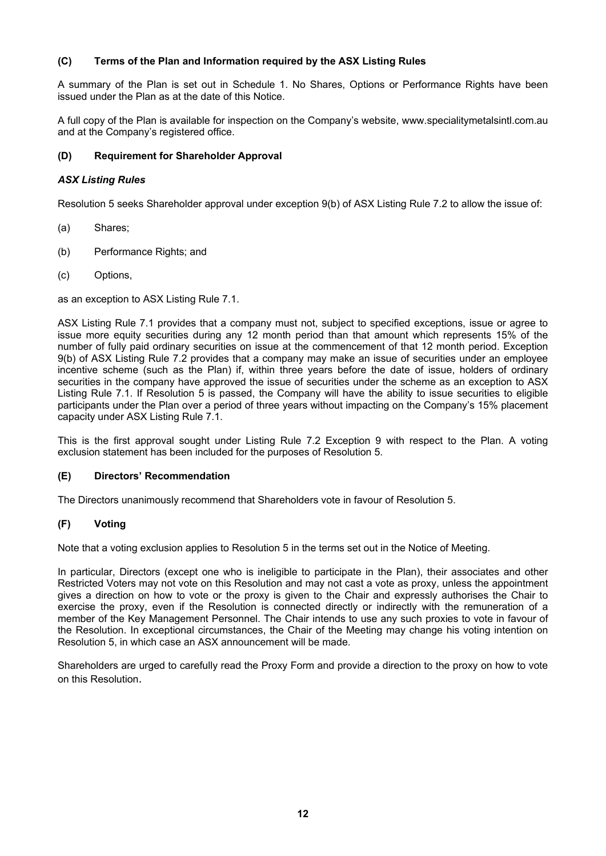# **(C) Terms of the Plan and Information required by the ASX Listing Rules**

A summary of the Plan is set out in Schedule 1. No Shares, Options or Performance Rights have been issued under the Plan as at the date of this Notice.

A full copy of the Plan is available for inspection on the Company's website, www.specialitymetalsintl.com.au and at the Company's registered office.

# **(D) Requirement for Shareholder Approval**

#### *ASX Listing Rules*

Resolution 5 seeks Shareholder approval under exception 9(b) of ASX Listing Rule 7.2 to allow the issue of:

- (a) Shares;
- (b) Performance Rights; and
- (c) Options,

as an exception to ASX Listing Rule 7.1.

ASX Listing Rule 7.1 provides that a company must not, subject to specified exceptions, issue or agree to issue more equity securities during any 12 month period than that amount which represents 15% of the number of fully paid ordinary securities on issue at the commencement of that 12 month period. Exception 9(b) of ASX Listing Rule 7.2 provides that a company may make an issue of securities under an employee incentive scheme (such as the Plan) if, within three years before the date of issue, holders of ordinary securities in the company have approved the issue of securities under the scheme as an exception to ASX Listing Rule 7.1. If Resolution 5 is passed, the Company will have the ability to issue securities to eligible participants under the Plan over a period of three years without impacting on the Company's 15% placement capacity under ASX Listing Rule 7.1.

This is the first approval sought under Listing Rule 7.2 Exception 9 with respect to the Plan. A voting exclusion statement has been included for the purposes of Resolution 5.

# **(E) Directors' Recommendation**

The Directors unanimously recommend that Shareholders vote in favour of Resolution 5.

# **(F) Voting**

Note that a voting exclusion applies to Resolution 5 in the terms set out in the Notice of Meeting.

In particular, Directors (except one who is ineligible to participate in the Plan), their associates and other Restricted Voters may not vote on this Resolution and may not cast a vote as proxy, unless the appointment gives a direction on how to vote or the proxy is given to the Chair and expressly authorises the Chair to exercise the proxy, even if the Resolution is connected directly or indirectly with the remuneration of a member of the Key Management Personnel. The Chair intends to use any such proxies to vote in favour of the Resolution. In exceptional circumstances, the Chair of the Meeting may change his voting intention on Resolution 5, in which case an ASX announcement will be made*.* 

Shareholders are urged to carefully read the Proxy Form and provide a direction to the proxy on how to vote on this Resolution.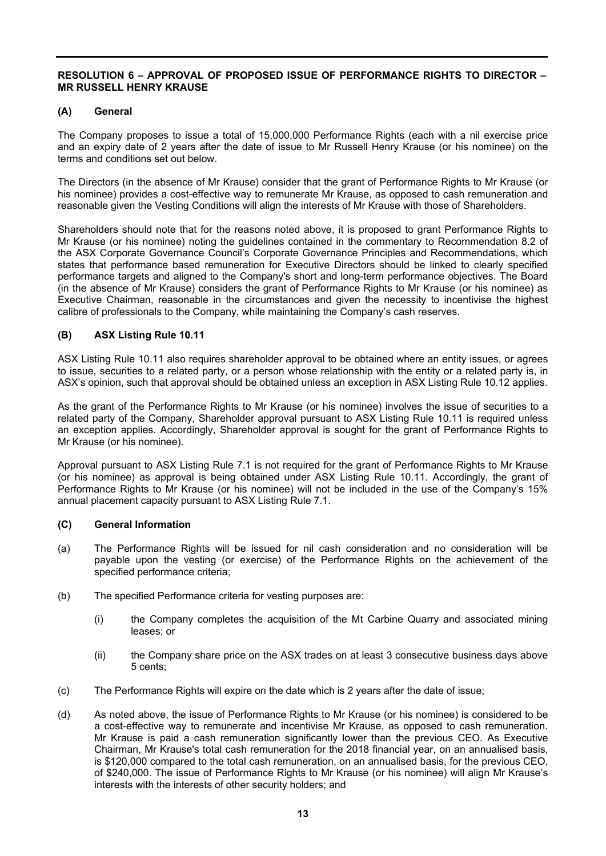## **RESOLUTION 6 – APPROVAL OF PROPOSED ISSUE OF PERFORMANCE RIGHTS TO DIRECTOR – MR RUSSELL HENRY KRAUSE**

#### **(A) General**

The Company proposes to issue a total of 15,000,000 Performance Rights (each with a nil exercise price and an expiry date of 2 years after the date of issue to Mr Russell Henry Krause (or his nominee) on the terms and conditions set out below.

The Directors (in the absence of Mr Krause) consider that the grant of Performance Rights to Mr Krause (or his nominee) provides a cost-effective way to remunerate Mr Krause, as opposed to cash remuneration and reasonable given the Vesting Conditions will align the interests of Mr Krause with those of Shareholders.

Shareholders should note that for the reasons noted above, it is proposed to grant Performance Rights to Mr Krause (or his nominee) noting the guidelines contained in the commentary to Recommendation 8.2 of the ASX Corporate Governance Council's Corporate Governance Principles and Recommendations, which states that performance based remuneration for Executive Directors should be linked to clearly specified performance targets and aligned to the Company's short and long-term performance objectives. The Board (in the absence of Mr Krause) considers the grant of Performance Rights to Mr Krause (or his nominee) as Executive Chairman, reasonable in the circumstances and given the necessity to incentivise the highest calibre of professionals to the Company, while maintaining the Company's cash reserves.

# **(B) ASX Listing Rule 10.11**

ASX Listing Rule 10.11 also requires shareholder approval to be obtained where an entity issues, or agrees to issue, securities to a related party, or a person whose relationship with the entity or a related party is, in ASX's opinion, such that approval should be obtained unless an exception in ASX Listing Rule 10.12 applies.

As the grant of the Performance Rights to Mr Krause (or his nominee) involves the issue of securities to a related party of the Company, Shareholder approval pursuant to ASX Listing Rule 10.11 is required unless an exception applies. Accordingly, Shareholder approval is sought for the grant of Performance Rights to Mr Krause (or his nominee).

Approval pursuant to ASX Listing Rule 7.1 is not required for the grant of Performance Rights to Mr Krause (or his nominee) as approval is being obtained under ASX Listing Rule 10.11. Accordingly, the grant of Performance Rights to Mr Krause (or his nominee) will not be included in the use of the Company's 15% annual placement capacity pursuant to ASX Listing Rule 7.1.

# **(C) General Information**

- (a) The Performance Rights will be issued for nil cash consideration and no consideration will be payable upon the vesting (or exercise) of the Performance Rights on the achievement of the specified performance criteria;
- (b) The specified Performance criteria for vesting purposes are:
	- (i) the Company completes the acquisition of the Mt Carbine Quarry and associated mining leases; or
	- (ii) the Company share price on the ASX trades on at least 3 consecutive business days above 5 cents;
- (c) The Performance Rights will expire on the date which is 2 years after the date of issue;
- (d) As noted above, the issue of Performance Rights to Mr Krause (or his nominee) is considered to be a cost-effective way to remunerate and incentivise Mr Krause, as opposed to cash remuneration. Mr Krause is paid a cash remuneration significantly lower than the previous CEO. As Executive Chairman, Mr Krause's total cash remuneration for the 2018 financial year, on an annualised basis, is \$120,000 compared to the total cash remuneration, on an annualised basis, for the previous CEO, of \$240,000. The issue of Performance Rights to Mr Krause (or his nominee) will align Mr Krause's interests with the interests of other security holders; and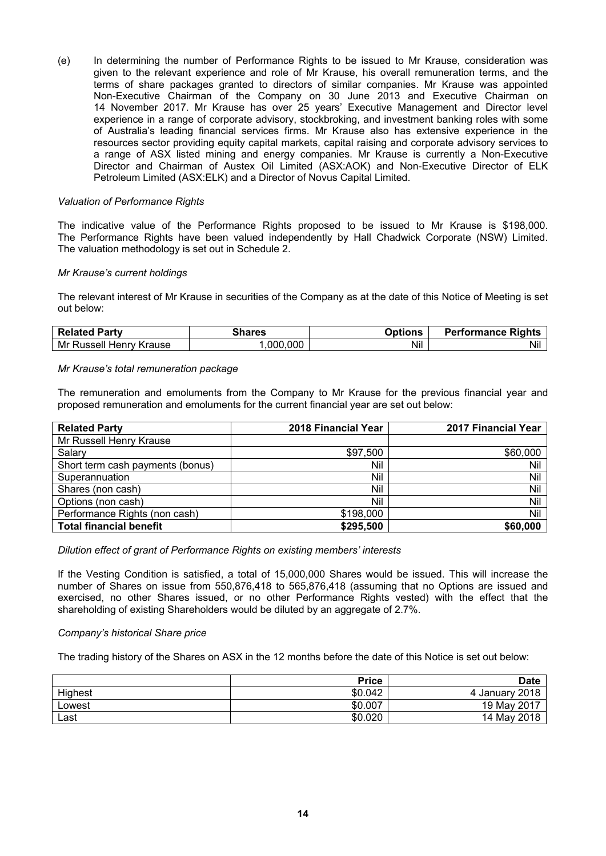(e) In determining the number of Performance Rights to be issued to Mr Krause, consideration was given to the relevant experience and role of Mr Krause, his overall remuneration terms, and the terms of share packages granted to directors of similar companies. Mr Krause was appointed Non-Executive Chairman of the Company on 30 June 2013 and Executive Chairman on 14 November 2017. Mr Krause has over 25 years' Executive Management and Director level experience in a range of corporate advisory, stockbroking, and investment banking roles with some of Australia's leading financial services firms. Mr Krause also has extensive experience in the resources sector providing equity capital markets, capital raising and corporate advisory services to a range of ASX listed mining and energy companies. Mr Krause is currently a Non-Executive Director and Chairman of Austex Oil Limited (ASX:AOK) and Non-Executive Director of ELK Petroleum Limited (ASX:ELK) and a Director of Novus Capital Limited.

#### *Valuation of Performance Rights*

The indicative value of the Performance Rights proposed to be issued to Mr Krause is \$198,000. The Performance Rights have been valued independently by Hall Chadwick Corporate (NSW) Limited. The valuation methodology is set out in Schedule 2.

#### *Mr Krause's current holdings*

The relevant interest of Mr Krause in securities of the Company as at the date of this Notice of Meeting is set out below:

| <b>Related Party</b>    | <b>Shares</b> | <b>Options</b> | <b>Performance Rights</b> |
|-------------------------|---------------|----------------|---------------------------|
| Mr Russell Henry Krause | .000.000      | Nil            | Nil                       |

#### *Mr Krause's total remuneration package*

The remuneration and emoluments from the Company to Mr Krause for the previous financial year and proposed remuneration and emoluments for the current financial year are set out below:

| <b>Related Party</b>             | 2018 Financial Year | 2017 Financial Year |
|----------------------------------|---------------------|---------------------|
| Mr Russell Henry Krause          |                     |                     |
| Salary                           | \$97,500            | \$60,000            |
| Short term cash payments (bonus) | Nil                 | Nil                 |
| Superannuation                   | Nil                 | Nil                 |
| Shares (non cash)                | Nil                 | Nil                 |
| Options (non cash)               | Nil                 | Nil                 |
| Performance Rights (non cash)    | \$198,000           | Nil                 |
| <b>Total financial benefit</b>   | \$295,500           | \$60,000            |

#### *Dilution effect of grant of Performance Rights on existing members' interests*

If the Vesting Condition is satisfied, a total of 15,000,000 Shares would be issued. This will increase the number of Shares on issue from 550,876,418 to 565,876,418 (assuming that no Options are issued and exercised, no other Shares issued, or no other Performance Rights vested) with the effect that the shareholding of existing Shareholders would be diluted by an aggregate of 2.7%.

#### *Company's historical Share price*

The trading history of the Shares on ASX in the 12 months before the date of this Notice is set out below:

|         | <b>Price</b> | <b>Date</b>       |
|---------|--------------|-------------------|
| Highest | \$0.042      | Uanuary 2018<br>4 |
| Lowest  | \$0.007      | 19 May 2017       |
| Last    | \$0.020      | 14 May 2018       |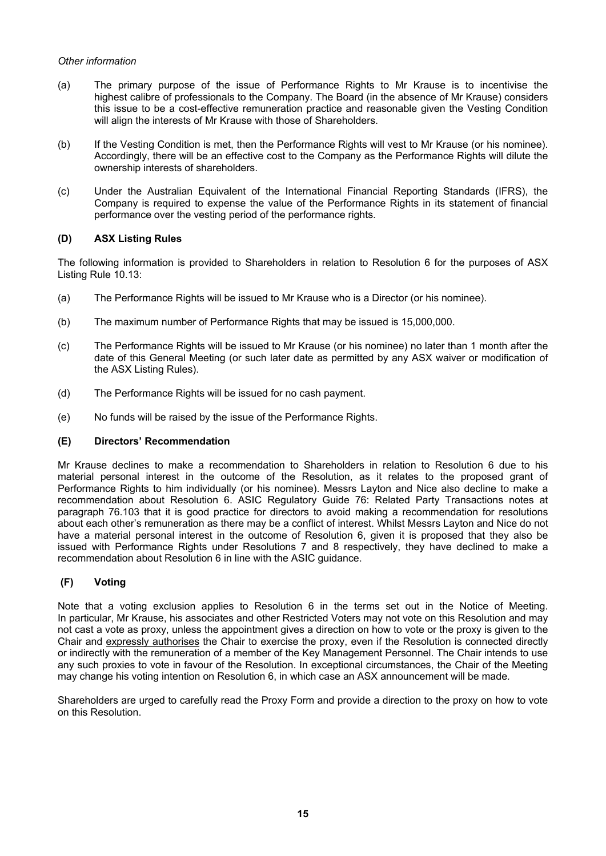# *Other information*

- (a) The primary purpose of the issue of Performance Rights to Mr Krause is to incentivise the highest calibre of professionals to the Company. The Board (in the absence of Mr Krause) considers this issue to be a cost-effective remuneration practice and reasonable given the Vesting Condition will align the interests of Mr Krause with those of Shareholders.
- (b) If the Vesting Condition is met, then the Performance Rights will vest to Mr Krause (or his nominee). Accordingly, there will be an effective cost to the Company as the Performance Rights will dilute the ownership interests of shareholders.
- (c) Under the Australian Equivalent of the International Financial Reporting Standards (IFRS), the Company is required to expense the value of the Performance Rights in its statement of financial performance over the vesting period of the performance rights.

# **(D) ASX Listing Rules**

The following information is provided to Shareholders in relation to Resolution 6 for the purposes of ASX Listing Rule 10.13:

- (a) The Performance Rights will be issued to Mr Krause who is a Director (or his nominee).
- (b) The maximum number of Performance Rights that may be issued is 15,000,000.
- (c) The Performance Rights will be issued to Mr Krause (or his nominee) no later than 1 month after the date of this General Meeting (or such later date as permitted by any ASX waiver or modification of the ASX Listing Rules).
- (d) The Performance Rights will be issued for no cash payment.
- (e) No funds will be raised by the issue of the Performance Rights.

# **(E) Directors' Recommendation**

Mr Krause declines to make a recommendation to Shareholders in relation to Resolution 6 due to his material personal interest in the outcome of the Resolution, as it relates to the proposed grant of Performance Rights to him individually (or his nominee). Messrs Layton and Nice also decline to make a recommendation about Resolution 6. ASIC Regulatory Guide 76: Related Party Transactions notes at paragraph 76.103 that it is good practice for directors to avoid making a recommendation for resolutions about each other's remuneration as there may be a conflict of interest. Whilst Messrs Layton and Nice do not have a material personal interest in the outcome of Resolution 6, given it is proposed that they also be issued with Performance Rights under Resolutions 7 and 8 respectively, they have declined to make a recommendation about Resolution 6 in line with the ASIC guidance.

# **(F) Voting**

Note that a voting exclusion applies to Resolution 6 in the terms set out in the Notice of Meeting. In particular, Mr Krause, his associates and other Restricted Voters may not vote on this Resolution and may not cast a vote as proxy, unless the appointment gives a direction on how to vote or the proxy is given to the Chair and expressly authorises the Chair to exercise the proxy, even if the Resolution is connected directly or indirectly with the remuneration of a member of the Key Management Personnel. The Chair intends to use any such proxies to vote in favour of the Resolution. In exceptional circumstances, the Chair of the Meeting may change his voting intention on Resolution 6, in which case an ASX announcement will be made*.* 

Shareholders are urged to carefully read the Proxy Form and provide a direction to the proxy on how to vote on this Resolution.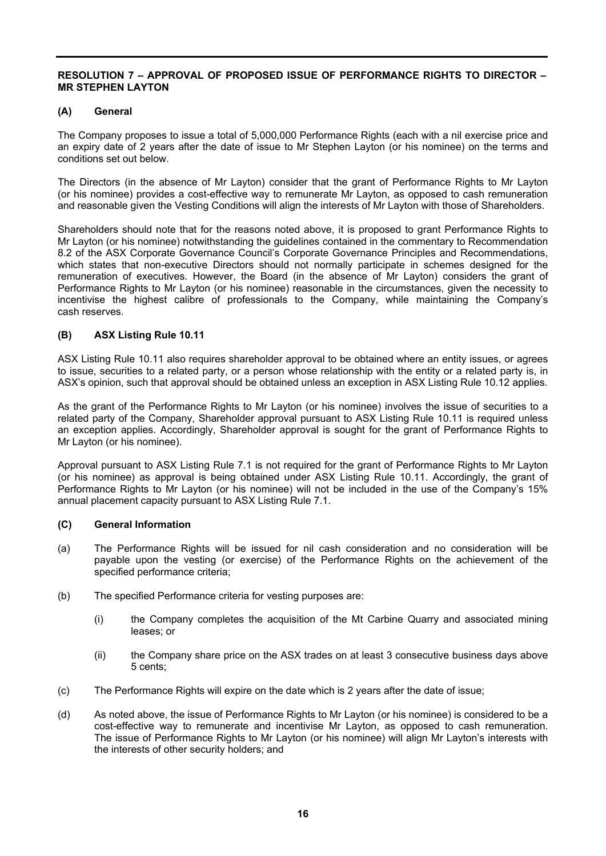# **RESOLUTION 7 – APPROVAL OF PROPOSED ISSUE OF PERFORMANCE RIGHTS TO DIRECTOR – MR STEPHEN LAYTON**

## **(A) General**

The Company proposes to issue a total of 5,000,000 Performance Rights (each with a nil exercise price and an expiry date of 2 years after the date of issue to Mr Stephen Layton (or his nominee) on the terms and conditions set out below.

The Directors (in the absence of Mr Layton) consider that the grant of Performance Rights to Mr Layton (or his nominee) provides a cost-effective way to remunerate Mr Layton, as opposed to cash remuneration and reasonable given the Vesting Conditions will align the interests of Mr Layton with those of Shareholders.

Shareholders should note that for the reasons noted above, it is proposed to grant Performance Rights to Mr Layton (or his nominee) notwithstanding the guidelines contained in the commentary to Recommendation 8.2 of the ASX Corporate Governance Council's Corporate Governance Principles and Recommendations, which states that non-executive Directors should not normally participate in schemes designed for the remuneration of executives. However, the Board (in the absence of Mr Layton) considers the grant of Performance Rights to Mr Layton (or his nominee) reasonable in the circumstances, given the necessity to incentivise the highest calibre of professionals to the Company, while maintaining the Company's cash reserves.

# **(B) ASX Listing Rule 10.11**

ASX Listing Rule 10.11 also requires shareholder approval to be obtained where an entity issues, or agrees to issue, securities to a related party, or a person whose relationship with the entity or a related party is, in ASX's opinion, such that approval should be obtained unless an exception in ASX Listing Rule 10.12 applies.

As the grant of the Performance Rights to Mr Layton (or his nominee) involves the issue of securities to a related party of the Company, Shareholder approval pursuant to ASX Listing Rule 10.11 is required unless an exception applies. Accordingly, Shareholder approval is sought for the grant of Performance Rights to Mr Layton (or his nominee).

Approval pursuant to ASX Listing Rule 7.1 is not required for the grant of Performance Rights to Mr Layton (or his nominee) as approval is being obtained under ASX Listing Rule 10.11. Accordingly, the grant of Performance Rights to Mr Layton (or his nominee) will not be included in the use of the Company's 15% annual placement capacity pursuant to ASX Listing Rule 7.1.

# **(C) General Information**

- (a) The Performance Rights will be issued for nil cash consideration and no consideration will be payable upon the vesting (or exercise) of the Performance Rights on the achievement of the specified performance criteria;
- (b) The specified Performance criteria for vesting purposes are:
	- (i) the Company completes the acquisition of the Mt Carbine Quarry and associated mining leases; or
	- (ii) the Company share price on the ASX trades on at least 3 consecutive business days above 5 cents;
- (c) The Performance Rights will expire on the date which is 2 years after the date of issue;
- (d) As noted above, the issue of Performance Rights to Mr Layton (or his nominee) is considered to be a cost-effective way to remunerate and incentivise Mr Layton, as opposed to cash remuneration. The issue of Performance Rights to Mr Layton (or his nominee) will align Mr Layton's interests with the interests of other security holders; and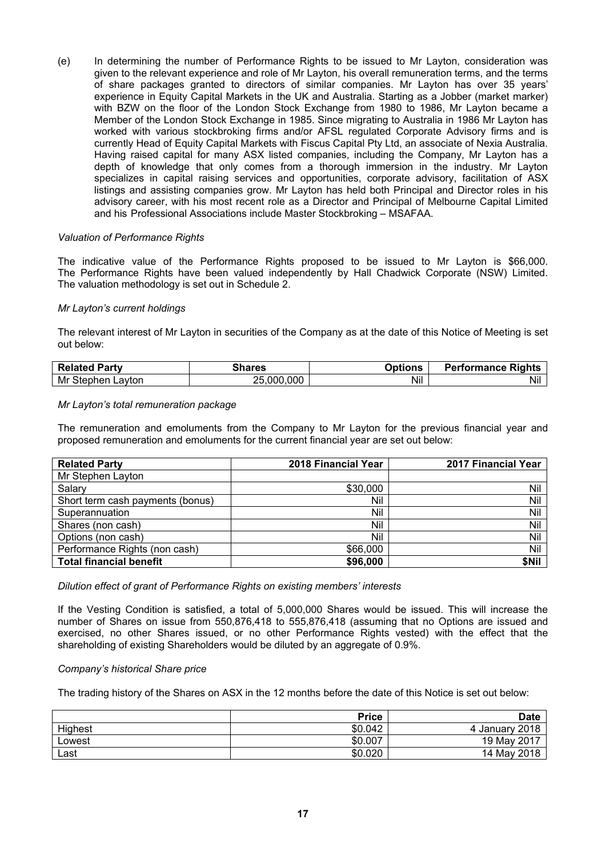(e) In determining the number of Performance Rights to be issued to Mr Layton, consideration was given to the relevant experience and role of Mr Layton, his overall remuneration terms, and the terms of share packages granted to directors of similar companies. Mr Layton has over 35 years' experience in Equity Capital Markets in the UK and Australia. Starting as a Jobber (market marker) with BZW on the floor of the London Stock Exchange from 1980 to 1986, Mr Layton became a Member of the London Stock Exchange in 1985. Since migrating to Australia in 1986 Mr Layton has worked with various stockbroking firms and/or AFSL regulated Corporate Advisory firms and is currently Head of Equity Capital Markets with Fiscus Capital Pty Ltd, an associate of Nexia Australia. Having raised capital for many ASX listed companies, including the Company, Mr Layton has a depth of knowledge that only comes from a thorough immersion in the industry. Mr Layton specializes in capital raising services and opportunities, corporate advisory, facilitation of ASX listings and assisting companies grow. Mr Layton has held both Principal and Director roles in his advisory career, with his most recent role as a Director and Principal of Melbourne Capital Limited and his Professional Associations include Master Stockbroking – MSAFAA.

#### *Valuation of Performance Rights*

The indicative value of the Performance Rights proposed to be issued to Mr Layton is \$66,000. The Performance Rights have been valued independently by Hall Chadwick Corporate (NSW) Limited. The valuation methodology is set out in Schedule 2.

#### *Mr Layton's current holdings*

The relevant interest of Mr Layton in securities of the Company as at the date of this Notice of Meeting is set out below:

| Party<br>Related        | `hares             | <b>Options</b> | <b>Performance Rights</b> |
|-------------------------|--------------------|----------------|---------------------------|
| Mr<br>∟avton<br>Stephen | .000<br>.000<br>った | Nil            | Nil                       |

#### *Mr Layton's total remuneration package*

The remuneration and emoluments from the Company to Mr Layton for the previous financial year and proposed remuneration and emoluments for the current financial year are set out below:

| <b>Related Party</b>             | 2018 Financial Year | 2017 Financial Year |
|----------------------------------|---------------------|---------------------|
| Mr Stephen Layton                |                     |                     |
| Salary                           | \$30,000            | Nil                 |
| Short term cash payments (bonus) | Nil                 | Nil                 |
| Superannuation                   | Nil                 | Nil                 |
| Shares (non cash)                | Nil                 | Nil                 |
| Options (non cash)               | Nil                 | Nil                 |
| Performance Rights (non cash)    | \$66,000            | Nil                 |
| <b>Total financial benefit</b>   | \$96,000            | \$Nil               |

#### *Dilution effect of grant of Performance Rights on existing members' interests*

If the Vesting Condition is satisfied, a total of 5,000,000 Shares would be issued. This will increase the number of Shares on issue from 550,876,418 to 555,876,418 (assuming that no Options are issued and exercised, no other Shares issued, or no other Performance Rights vested) with the effect that the shareholding of existing Shareholders would be diluted by an aggregate of 0.9%.

#### *Company's historical Share price*

The trading history of the Shares on ASX in the 12 months before the date of this Notice is set out below:

|         | <b>Price</b> | <b>Date</b>    |
|---------|--------------|----------------|
| Highest | \$0.042      | 4 January 2018 |
| Lowest  | \$0.007      | 19 May 2017    |
| Last    | \$0.020      | 14 May 2018    |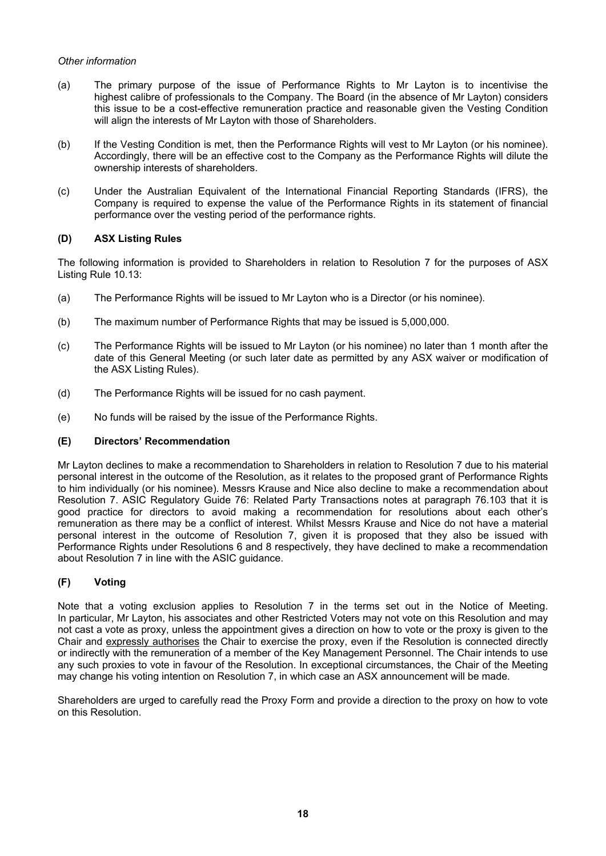# *Other information*

- (a) The primary purpose of the issue of Performance Rights to Mr Layton is to incentivise the highest calibre of professionals to the Company. The Board (in the absence of Mr Layton) considers this issue to be a cost-effective remuneration practice and reasonable given the Vesting Condition will align the interests of Mr Layton with those of Shareholders.
- (b) If the Vesting Condition is met, then the Performance Rights will vest to Mr Layton (or his nominee). Accordingly, there will be an effective cost to the Company as the Performance Rights will dilute the ownership interests of shareholders.
- (c) Under the Australian Equivalent of the International Financial Reporting Standards (IFRS), the Company is required to expense the value of the Performance Rights in its statement of financial performance over the vesting period of the performance rights.

# **(D) ASX Listing Rules**

The following information is provided to Shareholders in relation to Resolution 7 for the purposes of ASX Listing Rule 10.13:

- (a) The Performance Rights will be issued to Mr Layton who is a Director (or his nominee).
- (b) The maximum number of Performance Rights that may be issued is 5,000,000.
- (c) The Performance Rights will be issued to Mr Layton (or his nominee) no later than 1 month after the date of this General Meeting (or such later date as permitted by any ASX waiver or modification of the ASX Listing Rules).
- (d) The Performance Rights will be issued for no cash payment.
- (e) No funds will be raised by the issue of the Performance Rights.

# **(E) Directors' Recommendation**

Mr Layton declines to make a recommendation to Shareholders in relation to Resolution 7 due to his material personal interest in the outcome of the Resolution, as it relates to the proposed grant of Performance Rights to him individually (or his nominee). Messrs Krause and Nice also decline to make a recommendation about Resolution 7. ASIC Regulatory Guide 76: Related Party Transactions notes at paragraph 76.103 that it is good practice for directors to avoid making a recommendation for resolutions about each other's remuneration as there may be a conflict of interest. Whilst Messrs Krause and Nice do not have a material personal interest in the outcome of Resolution 7, given it is proposed that they also be issued with Performance Rights under Resolutions 6 and 8 respectively, they have declined to make a recommendation about Resolution 7 in line with the ASIC guidance.

# **(F) Voting**

Note that a voting exclusion applies to Resolution 7 in the terms set out in the Notice of Meeting. In particular, Mr Layton, his associates and other Restricted Voters may not vote on this Resolution and may not cast a vote as proxy, unless the appointment gives a direction on how to vote or the proxy is given to the Chair and expressly authorises the Chair to exercise the proxy, even if the Resolution is connected directly or indirectly with the remuneration of a member of the Key Management Personnel. The Chair intends to use any such proxies to vote in favour of the Resolution. In exceptional circumstances, the Chair of the Meeting may change his voting intention on Resolution 7, in which case an ASX announcement will be made*.* 

Shareholders are urged to carefully read the Proxy Form and provide a direction to the proxy on how to vote on this Resolution.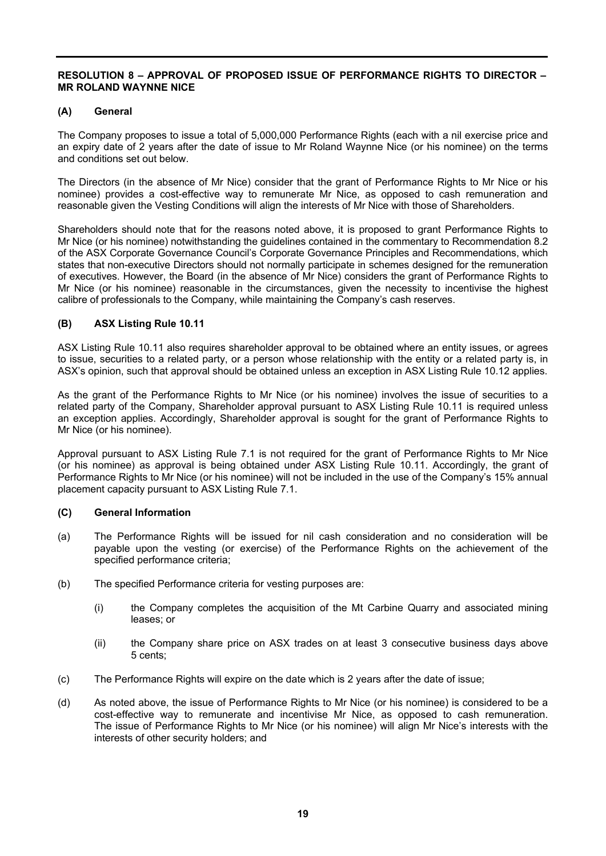## **RESOLUTION 8 – APPROVAL OF PROPOSED ISSUE OF PERFORMANCE RIGHTS TO DIRECTOR – MR ROLAND WAYNNE NICE**

## **(A) General**

The Company proposes to issue a total of 5,000,000 Performance Rights (each with a nil exercise price and an expiry date of 2 years after the date of issue to Mr Roland Waynne Nice (or his nominee) on the terms and conditions set out below.

The Directors (in the absence of Mr Nice) consider that the grant of Performance Rights to Mr Nice or his nominee) provides a cost-effective way to remunerate Mr Nice, as opposed to cash remuneration and reasonable given the Vesting Conditions will align the interests of Mr Nice with those of Shareholders.

Shareholders should note that for the reasons noted above, it is proposed to grant Performance Rights to Mr Nice (or his nominee) notwithstanding the guidelines contained in the commentary to Recommendation 8.2 of the ASX Corporate Governance Council's Corporate Governance Principles and Recommendations, which states that non-executive Directors should not normally participate in schemes designed for the remuneration of executives. However, the Board (in the absence of Mr Nice) considers the grant of Performance Rights to Mr Nice (or his nominee) reasonable in the circumstances, given the necessity to incentivise the highest calibre of professionals to the Company, while maintaining the Company's cash reserves.

# **(B) ASX Listing Rule 10.11**

ASX Listing Rule 10.11 also requires shareholder approval to be obtained where an entity issues, or agrees to issue, securities to a related party, or a person whose relationship with the entity or a related party is, in ASX's opinion, such that approval should be obtained unless an exception in ASX Listing Rule 10.12 applies.

As the grant of the Performance Rights to Mr Nice (or his nominee) involves the issue of securities to a related party of the Company, Shareholder approval pursuant to ASX Listing Rule 10.11 is required unless an exception applies. Accordingly, Shareholder approval is sought for the grant of Performance Rights to Mr Nice (or his nominee).

Approval pursuant to ASX Listing Rule 7.1 is not required for the grant of Performance Rights to Mr Nice (or his nominee) as approval is being obtained under ASX Listing Rule 10.11. Accordingly, the grant of Performance Rights to Mr Nice (or his nominee) will not be included in the use of the Company's 15% annual placement capacity pursuant to ASX Listing Rule 7.1.

#### **(C) General Information**

- (a) The Performance Rights will be issued for nil cash consideration and no consideration will be payable upon the vesting (or exercise) of the Performance Rights on the achievement of the specified performance criteria;
- (b) The specified Performance criteria for vesting purposes are:
	- (i) the Company completes the acquisition of the Mt Carbine Quarry and associated mining leases; or
	- (ii) the Company share price on ASX trades on at least 3 consecutive business days above 5 cents;
- (c) The Performance Rights will expire on the date which is 2 years after the date of issue;
- (d) As noted above, the issue of Performance Rights to Mr Nice (or his nominee) is considered to be a cost-effective way to remunerate and incentivise Mr Nice, as opposed to cash remuneration. The issue of Performance Rights to Mr Nice (or his nominee) will align Mr Nice's interests with the interests of other security holders; and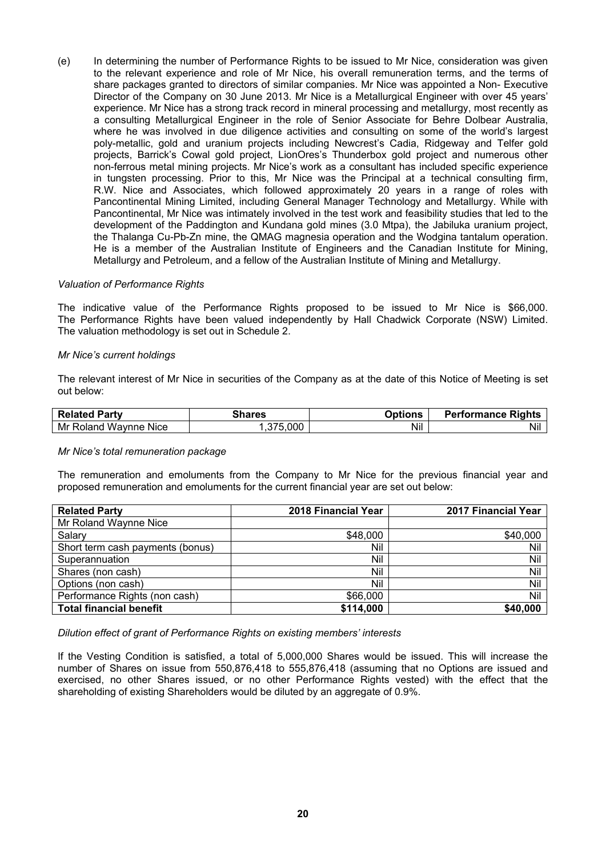(e) In determining the number of Performance Rights to be issued to Mr Nice, consideration was given to the relevant experience and role of Mr Nice, his overall remuneration terms, and the terms of share packages granted to directors of similar companies. Mr Nice was appointed a Non- Executive Director of the Company on 30 June 2013. Mr Nice is a Metallurgical Engineer with over 45 years' experience. Mr Nice has a strong track record in mineral processing and metallurgy, most recently as a consulting Metallurgical Engineer in the role of Senior Associate for Behre Dolbear Australia, where he was involved in due diligence activities and consulting on some of the world's largest poly-metallic, gold and uranium projects including Newcrest's Cadia, Ridgeway and Telfer gold projects, Barrick's Cowal gold project, LionOres's Thunderbox gold project and numerous other non-ferrous metal mining projects. Mr Nice's work as a consultant has included specific experience in tungsten processing. Prior to this, Mr Nice was the Principal at a technical consulting firm, R.W. Nice and Associates, which followed approximately 20 years in a range of roles with Pancontinental Mining Limited, including General Manager Technology and Metallurgy. While with Pancontinental, Mr Nice was intimately involved in the test work and feasibility studies that led to the development of the Paddington and Kundana gold mines (3.0 Mtpa), the Jabiluka uranium project, the Thalanga Cu-Pb-Zn mine, the QMAG magnesia operation and the Wodgina tantalum operation. He is a member of the Australian Institute of Engineers and the Canadian Institute for Mining, Metallurgy and Petroleum, and a fellow of the Australian Institute of Mining and Metallurgy.

#### *Valuation of Performance Rights*

The indicative value of the Performance Rights proposed to be issued to Mr Nice is \$66,000. The Performance Rights have been valued independently by Hall Chadwick Corporate (NSW) Limited. The valuation methodology is set out in Schedule 2.

#### *Mr Nice's current holdings*

The relevant interest of Mr Nice in securities of the Company as at the date of this Notice of Meeting is set out below:

| <b>Related Party</b>                | `hares       | <b><i><u>Dptions</u></i></b> | <b>Performance Rights</b> |
|-------------------------------------|--------------|------------------------------|---------------------------|
| Mr<br>Wavnne<br>Roland<br>Nice Nice | 5,000<br>، ب | Nil                          | Ni                        |

#### *Mr Nice's total remuneration package*

The remuneration and emoluments from the Company to Mr Nice for the previous financial year and proposed remuneration and emoluments for the current financial year are set out below:

| <b>Related Party</b>             | 2018 Financial Year | <b>2017 Financial Year</b> |
|----------------------------------|---------------------|----------------------------|
| Mr Roland Waynne Nice            |                     |                            |
| Salary                           | \$48,000            | \$40,000                   |
| Short term cash payments (bonus) | Nil                 | Nil                        |
| Superannuation                   | Nil                 | Nil                        |
| Shares (non cash)                | Nil                 | Nil                        |
| Options (non cash)               | Nil                 | Nil                        |
| Performance Rights (non cash)    | \$66,000            | Nil                        |
| <b>Total financial benefit</b>   | \$114,000           | \$40,000                   |

*Dilution effect of grant of Performance Rights on existing members' interests* 

If the Vesting Condition is satisfied, a total of 5,000,000 Shares would be issued. This will increase the number of Shares on issue from 550,876,418 to 555,876,418 (assuming that no Options are issued and exercised, no other Shares issued, or no other Performance Rights vested) with the effect that the shareholding of existing Shareholders would be diluted by an aggregate of 0.9%.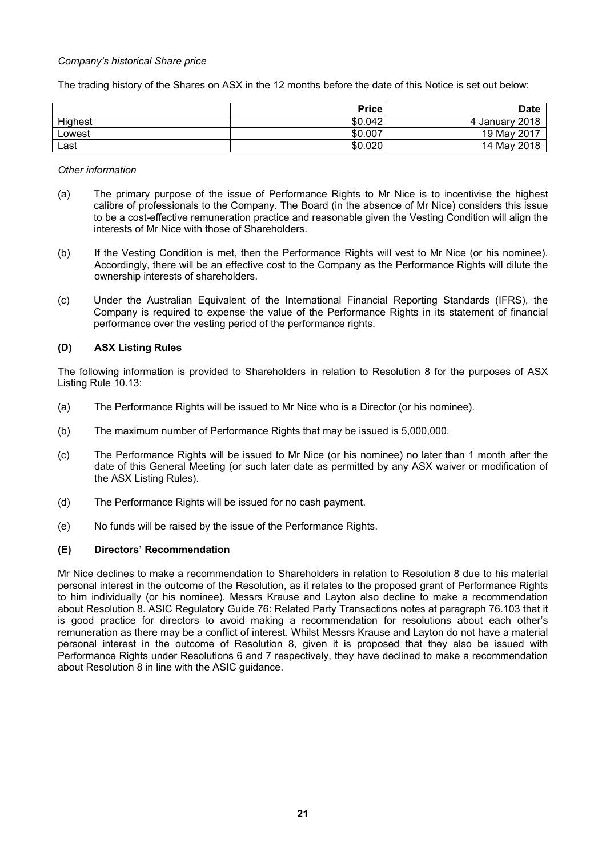#### *Company's historical Share price*

The trading history of the Shares on ASX in the 12 months before the date of this Notice is set out below:

|         | <b>Price</b> | <b>Date</b>    |
|---------|--------------|----------------|
| Highest | \$0.042      | 4 January 2018 |
| Lowest  | \$0.007      | 19 May 2017    |
| Last    | \$0.020      | 14 May 2018    |

#### *Other information*

- (a) The primary purpose of the issue of Performance Rights to Mr Nice is to incentivise the highest calibre of professionals to the Company. The Board (in the absence of Mr Nice) considers this issue to be a cost-effective remuneration practice and reasonable given the Vesting Condition will align the interests of Mr Nice with those of Shareholders.
- (b) If the Vesting Condition is met, then the Performance Rights will vest to Mr Nice (or his nominee). Accordingly, there will be an effective cost to the Company as the Performance Rights will dilute the ownership interests of shareholders.
- (c) Under the Australian Equivalent of the International Financial Reporting Standards (IFRS), the Company is required to expense the value of the Performance Rights in its statement of financial performance over the vesting period of the performance rights.

# **(D) ASX Listing Rules**

The following information is provided to Shareholders in relation to Resolution 8 for the purposes of ASX Listing Rule 10.13:

- (a) The Performance Rights will be issued to Mr Nice who is a Director (or his nominee).
- (b) The maximum number of Performance Rights that may be issued is 5,000,000.
- (c) The Performance Rights will be issued to Mr Nice (or his nominee) no later than 1 month after the date of this General Meeting (or such later date as permitted by any ASX waiver or modification of the ASX Listing Rules).
- (d) The Performance Rights will be issued for no cash payment.
- (e) No funds will be raised by the issue of the Performance Rights.

# **(E) Directors' Recommendation**

Mr Nice declines to make a recommendation to Shareholders in relation to Resolution 8 due to his material personal interest in the outcome of the Resolution, as it relates to the proposed grant of Performance Rights to him individually (or his nominee). Messrs Krause and Layton also decline to make a recommendation about Resolution 8. ASIC Regulatory Guide 76: Related Party Transactions notes at paragraph 76.103 that it is good practice for directors to avoid making a recommendation for resolutions about each other's remuneration as there may be a conflict of interest. Whilst Messrs Krause and Layton do not have a material personal interest in the outcome of Resolution 8, given it is proposed that they also be issued with Performance Rights under Resolutions 6 and 7 respectively, they have declined to make a recommendation about Resolution 8 in line with the ASIC guidance.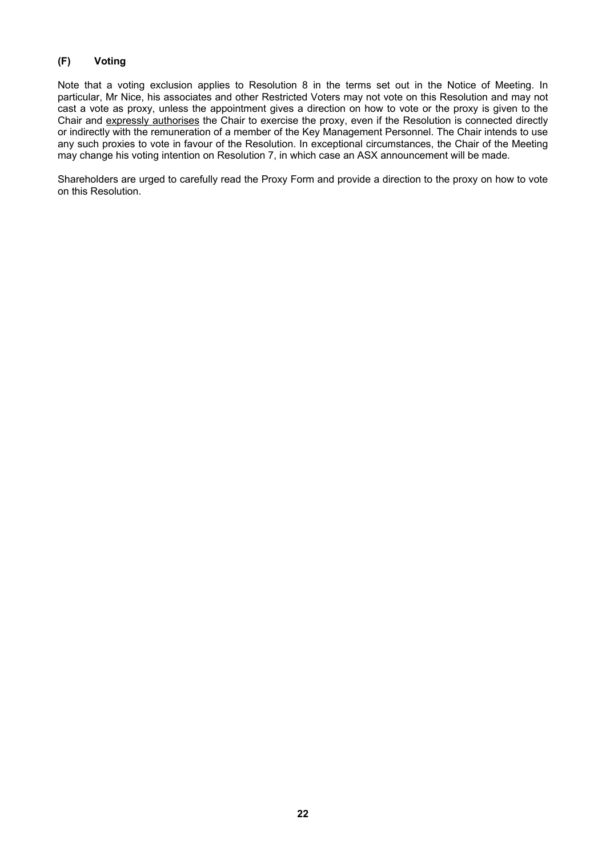# **(F) Voting**

Note that a voting exclusion applies to Resolution 8 in the terms set out in the Notice of Meeting. In particular, Mr Nice, his associates and other Restricted Voters may not vote on this Resolution and may not cast a vote as proxy, unless the appointment gives a direction on how to vote or the proxy is given to the Chair and expressly authorises the Chair to exercise the proxy, even if the Resolution is connected directly or indirectly with the remuneration of a member of the Key Management Personnel. The Chair intends to use any such proxies to vote in favour of the Resolution. In exceptional circumstances, the Chair of the Meeting may change his voting intention on Resolution 7, in which case an ASX announcement will be made*.* 

Shareholders are urged to carefully read the Proxy Form and provide a direction to the proxy on how to vote on this Resolution.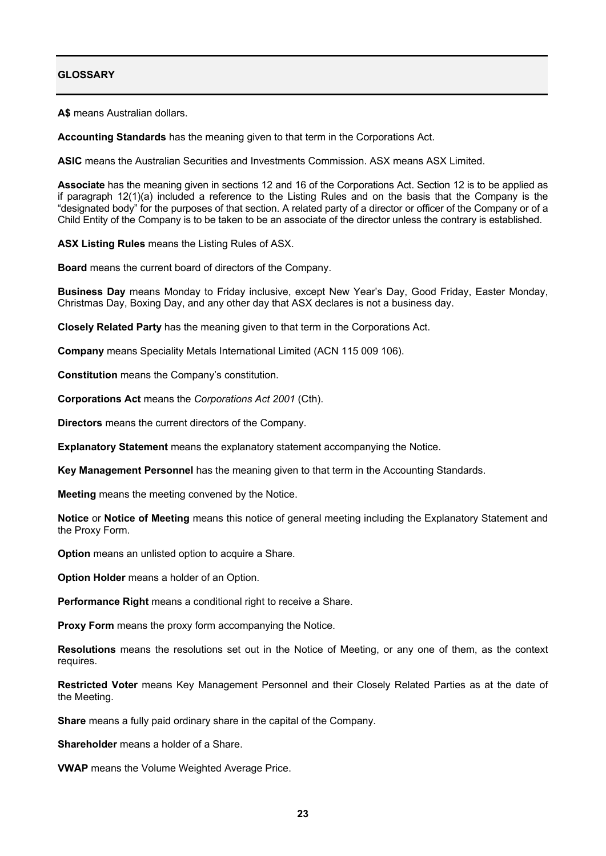# **GLOSSARY**

**A\$** means Australian dollars.

**Accounting Standards** has the meaning given to that term in the Corporations Act.

**ASIC** means the Australian Securities and Investments Commission. ASX means ASX Limited.

**Associate** has the meaning given in sections 12 and 16 of the Corporations Act. Section 12 is to be applied as if paragraph 12(1)(a) included a reference to the Listing Rules and on the basis that the Company is the "designated body" for the purposes of that section. A related party of a director or officer of the Company or of a Child Entity of the Company is to be taken to be an associate of the director unless the contrary is established.

**ASX Listing Rules** means the Listing Rules of ASX.

**Board** means the current board of directors of the Company.

**Business Day** means Monday to Friday inclusive, except New Year's Day, Good Friday, Easter Monday, Christmas Day, Boxing Day, and any other day that ASX declares is not a business day.

**Closely Related Party** has the meaning given to that term in the Corporations Act.

**Company** means Speciality Metals International Limited (ACN 115 009 106).

**Constitution** means the Company's constitution.

**Corporations Act** means the *Corporations Act 2001* (Cth).

**Directors** means the current directors of the Company.

**Explanatory Statement** means the explanatory statement accompanying the Notice.

**Key Management Personnel** has the meaning given to that term in the Accounting Standards.

**Meeting** means the meeting convened by the Notice.

**Notice** or **Notice of Meeting** means this notice of general meeting including the Explanatory Statement and the Proxy Form.

**Option** means an unlisted option to acquire a Share.

**Option Holder** means a holder of an Option.

**Performance Right** means a conditional right to receive a Share.

**Proxy Form** means the proxy form accompanying the Notice.

**Resolutions** means the resolutions set out in the Notice of Meeting, or any one of them, as the context requires.

**Restricted Voter** means Key Management Personnel and their Closely Related Parties as at the date of the Meeting.

**Share** means a fully paid ordinary share in the capital of the Company.

**Shareholder** means a holder of a Share.

**VWAP** means the Volume Weighted Average Price.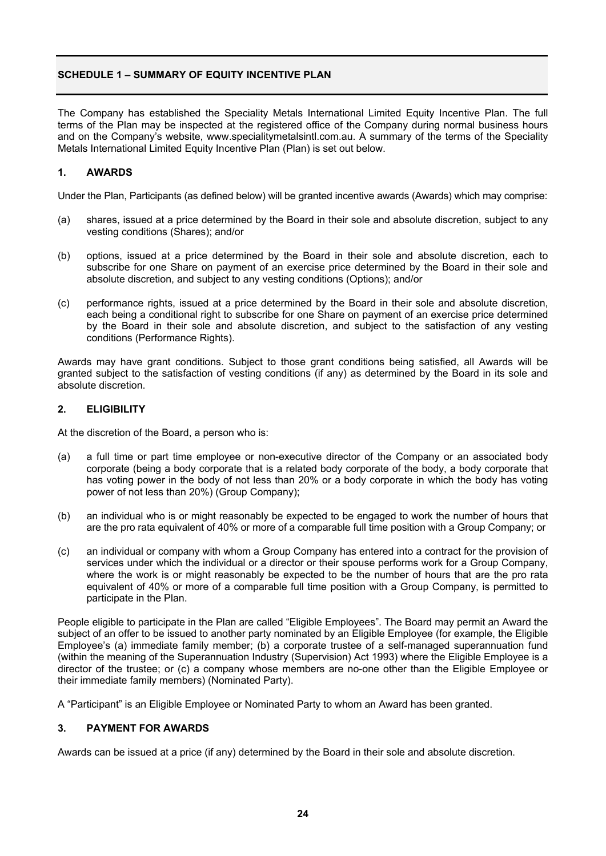# **SCHEDULE 1 – SUMMARY OF FOULTY INCENTIVE PLAN**

The Company has established the Speciality Metals International Limited Equity Incentive Plan. The full terms of the Plan may be inspected at the registered office of the Company during normal business hours and on the Company's website, www.specialitymetalsintl.com.au. A summary of the terms of the Speciality Metals International Limited Equity Incentive Plan (Plan) is set out below.

# **1. AWARDS**

Under the Plan, Participants (as defined below) will be granted incentive awards (Awards) which may comprise:

- (a) shares, issued at a price determined by the Board in their sole and absolute discretion, subject to any vesting conditions (Shares); and/or
- (b) options, issued at a price determined by the Board in their sole and absolute discretion, each to subscribe for one Share on payment of an exercise price determined by the Board in their sole and absolute discretion, and subject to any vesting conditions (Options); and/or
- (c) performance rights, issued at a price determined by the Board in their sole and absolute discretion, each being a conditional right to subscribe for one Share on payment of an exercise price determined by the Board in their sole and absolute discretion, and subject to the satisfaction of any vesting conditions (Performance Rights).

Awards may have grant conditions. Subject to those grant conditions being satisfied, all Awards will be granted subject to the satisfaction of vesting conditions (if any) as determined by the Board in its sole and absolute discretion.

# **2. ELIGIBILITY**

At the discretion of the Board, a person who is:

- (a) a full time or part time employee or non-executive director of the Company or an associated body corporate (being a body corporate that is a related body corporate of the body, a body corporate that has voting power in the body of not less than 20% or a body corporate in which the body has voting power of not less than 20%) (Group Company);
- (b) an individual who is or might reasonably be expected to be engaged to work the number of hours that are the pro rata equivalent of 40% or more of a comparable full time position with a Group Company; or
- (c) an individual or company with whom a Group Company has entered into a contract for the provision of services under which the individual or a director or their spouse performs work for a Group Company, where the work is or might reasonably be expected to be the number of hours that are the pro rata equivalent of 40% or more of a comparable full time position with a Group Company, is permitted to participate in the Plan.

People eligible to participate in the Plan are called "Eligible Employees". The Board may permit an Award the subject of an offer to be issued to another party nominated by an Eligible Employee (for example, the Eligible Employee's (a) immediate family member; (b) a corporate trustee of a self-managed superannuation fund (within the meaning of the Superannuation Industry (Supervision) Act 1993) where the Eligible Employee is a director of the trustee; or (c) a company whose members are no-one other than the Eligible Employee or their immediate family members) (Nominated Party).

A "Participant" is an Eligible Employee or Nominated Party to whom an Award has been granted.

# **3. PAYMENT FOR AWARDS**

Awards can be issued at a price (if any) determined by the Board in their sole and absolute discretion.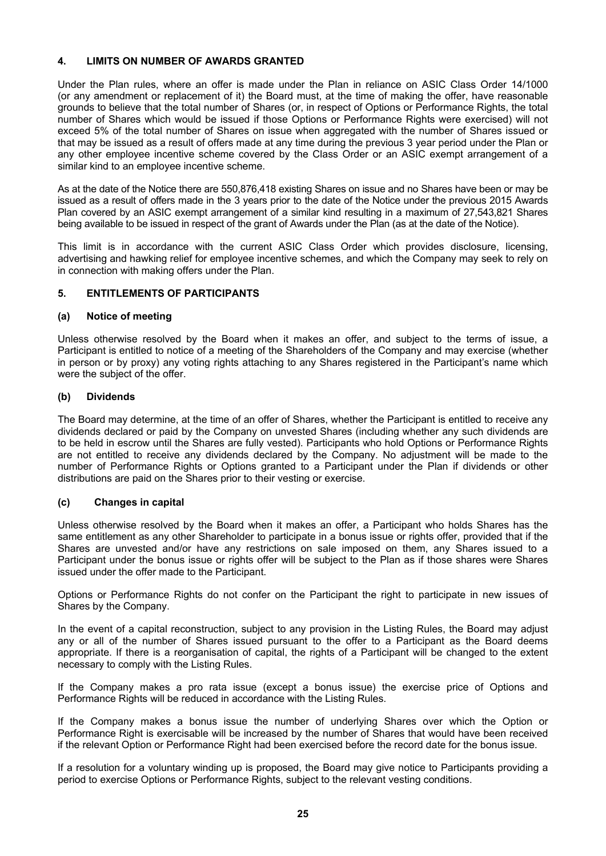# **4. LIMITS ON NUMBER OF AWARDS GRANTED**

Under the Plan rules, where an offer is made under the Plan in reliance on ASIC Class Order 14/1000 (or any amendment or replacement of it) the Board must, at the time of making the offer, have reasonable grounds to believe that the total number of Shares (or, in respect of Options or Performance Rights, the total number of Shares which would be issued if those Options or Performance Rights were exercised) will not exceed 5% of the total number of Shares on issue when aggregated with the number of Shares issued or that may be issued as a result of offers made at any time during the previous 3 year period under the Plan or any other employee incentive scheme covered by the Class Order or an ASIC exempt arrangement of a similar kind to an employee incentive scheme.

As at the date of the Notice there are 550,876,418 existing Shares on issue and no Shares have been or may be issued as a result of offers made in the 3 years prior to the date of the Notice under the previous 2015 Awards Plan covered by an ASIC exempt arrangement of a similar kind resulting in a maximum of 27,543,821 Shares being available to be issued in respect of the grant of Awards under the Plan (as at the date of the Notice).

This limit is in accordance with the current ASIC Class Order which provides disclosure, licensing, advertising and hawking relief for employee incentive schemes, and which the Company may seek to rely on in connection with making offers under the Plan.

# **5. ENTITLEMENTS OF PARTICIPANTS**

# **(a) Notice of meeting**

Unless otherwise resolved by the Board when it makes an offer, and subject to the terms of issue, a Participant is entitled to notice of a meeting of the Shareholders of the Company and may exercise (whether in person or by proxy) any voting rights attaching to any Shares registered in the Participant's name which were the subject of the offer.

#### **(b) Dividends**

The Board may determine, at the time of an offer of Shares, whether the Participant is entitled to receive any dividends declared or paid by the Company on unvested Shares (including whether any such dividends are to be held in escrow until the Shares are fully vested). Participants who hold Options or Performance Rights are not entitled to receive any dividends declared by the Company. No adjustment will be made to the number of Performance Rights or Options granted to a Participant under the Plan if dividends or other distributions are paid on the Shares prior to their vesting or exercise.

# **(c) Changes in capital**

Unless otherwise resolved by the Board when it makes an offer, a Participant who holds Shares has the same entitlement as any other Shareholder to participate in a bonus issue or rights offer, provided that if the Shares are unvested and/or have any restrictions on sale imposed on them, any Shares issued to a Participant under the bonus issue or rights offer will be subject to the Plan as if those shares were Shares issued under the offer made to the Participant.

Options or Performance Rights do not confer on the Participant the right to participate in new issues of Shares by the Company.

In the event of a capital reconstruction, subject to any provision in the Listing Rules, the Board may adjust any or all of the number of Shares issued pursuant to the offer to a Participant as the Board deems appropriate. If there is a reorganisation of capital, the rights of a Participant will be changed to the extent necessary to comply with the Listing Rules.

If the Company makes a pro rata issue (except a bonus issue) the exercise price of Options and Performance Rights will be reduced in accordance with the Listing Rules.

If the Company makes a bonus issue the number of underlying Shares over which the Option or Performance Right is exercisable will be increased by the number of Shares that would have been received if the relevant Option or Performance Right had been exercised before the record date for the bonus issue.

If a resolution for a voluntary winding up is proposed, the Board may give notice to Participants providing a period to exercise Options or Performance Rights, subject to the relevant vesting conditions.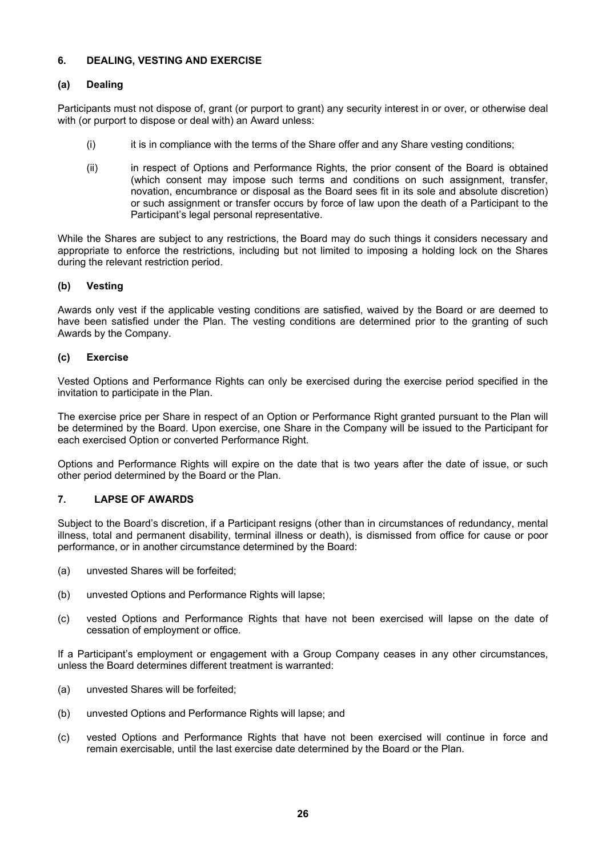# **6. DEALING, VESTING AND EXERCISE**

# **(a) Dealing**

Participants must not dispose of, grant (or purport to grant) any security interest in or over, or otherwise deal with (or purport to dispose or deal with) an Award unless:

- (i) it is in compliance with the terms of the Share offer and any Share vesting conditions;
- (ii) in respect of Options and Performance Rights, the prior consent of the Board is obtained (which consent may impose such terms and conditions on such assignment, transfer, novation, encumbrance or disposal as the Board sees fit in its sole and absolute discretion) or such assignment or transfer occurs by force of law upon the death of a Participant to the Participant's legal personal representative.

While the Shares are subject to any restrictions, the Board may do such things it considers necessary and appropriate to enforce the restrictions, including but not limited to imposing a holding lock on the Shares during the relevant restriction period.

# **(b) Vesting**

Awards only vest if the applicable vesting conditions are satisfied, waived by the Board or are deemed to have been satisfied under the Plan. The vesting conditions are determined prior to the granting of such Awards by the Company.

# **(c) Exercise**

Vested Options and Performance Rights can only be exercised during the exercise period specified in the invitation to participate in the Plan.

The exercise price per Share in respect of an Option or Performance Right granted pursuant to the Plan will be determined by the Board. Upon exercise, one Share in the Company will be issued to the Participant for each exercised Option or converted Performance Right.

Options and Performance Rights will expire on the date that is two years after the date of issue, or such other period determined by the Board or the Plan.

# **7. LAPSE OF AWARDS**

Subject to the Board's discretion, if a Participant resigns (other than in circumstances of redundancy, mental illness, total and permanent disability, terminal illness or death), is dismissed from office for cause or poor performance, or in another circumstance determined by the Board:

- (a) unvested Shares will be forfeited;
- (b) unvested Options and Performance Rights will lapse;
- (c) vested Options and Performance Rights that have not been exercised will lapse on the date of cessation of employment or office.

If a Participant's employment or engagement with a Group Company ceases in any other circumstances, unless the Board determines different treatment is warranted:

- (a) unvested Shares will be forfeited;
- (b) unvested Options and Performance Rights will lapse; and
- (c) vested Options and Performance Rights that have not been exercised will continue in force and remain exercisable, until the last exercise date determined by the Board or the Plan.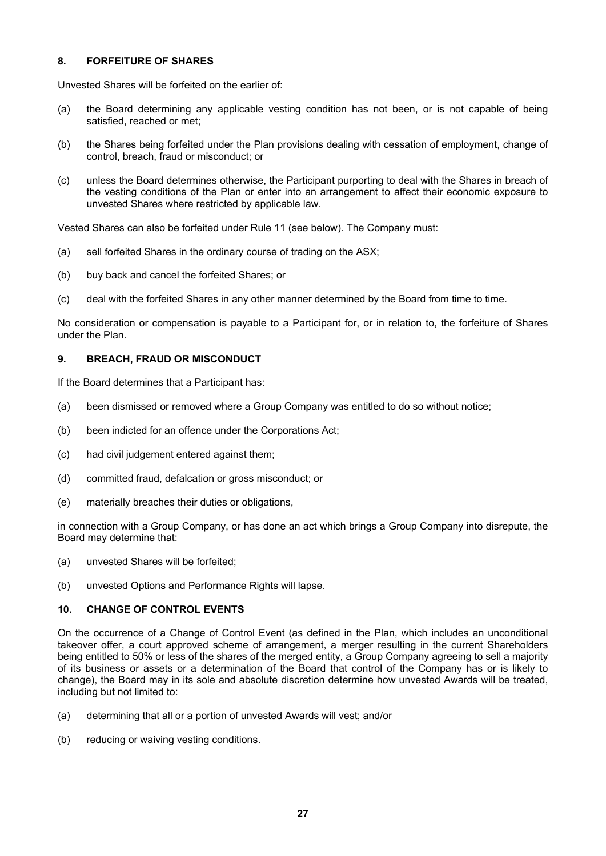# **8. FORFEITURE OF SHARES**

Unvested Shares will be forfeited on the earlier of:

- (a) the Board determining any applicable vesting condition has not been, or is not capable of being satisfied, reached or met;
- (b) the Shares being forfeited under the Plan provisions dealing with cessation of employment, change of control, breach, fraud or misconduct; or
- (c) unless the Board determines otherwise, the Participant purporting to deal with the Shares in breach of the vesting conditions of the Plan or enter into an arrangement to affect their economic exposure to unvested Shares where restricted by applicable law.

Vested Shares can also be forfeited under Rule 11 (see below). The Company must:

- (a) sell forfeited Shares in the ordinary course of trading on the ASX;
- (b) buy back and cancel the forfeited Shares; or
- (c) deal with the forfeited Shares in any other manner determined by the Board from time to time.

No consideration or compensation is payable to a Participant for, or in relation to, the forfeiture of Shares under the Plan.

# **9. BREACH, FRAUD OR MISCONDUCT**

If the Board determines that a Participant has:

- (a) been dismissed or removed where a Group Company was entitled to do so without notice;
- (b) been indicted for an offence under the Corporations Act;
- (c) had civil judgement entered against them;
- (d) committed fraud, defalcation or gross misconduct; or
- (e) materially breaches their duties or obligations,

in connection with a Group Company, or has done an act which brings a Group Company into disrepute, the Board may determine that:

- (a) unvested Shares will be forfeited;
- (b) unvested Options and Performance Rights will lapse.

# **10. CHANGE OF CONTROL EVENTS**

On the occurrence of a Change of Control Event (as defined in the Plan, which includes an unconditional takeover offer, a court approved scheme of arrangement, a merger resulting in the current Shareholders being entitled to 50% or less of the shares of the merged entity, a Group Company agreeing to sell a majority of its business or assets or a determination of the Board that control of the Company has or is likely to change), the Board may in its sole and absolute discretion determine how unvested Awards will be treated, including but not limited to:

- (a) determining that all or a portion of unvested Awards will vest; and/or
- (b) reducing or waiving vesting conditions.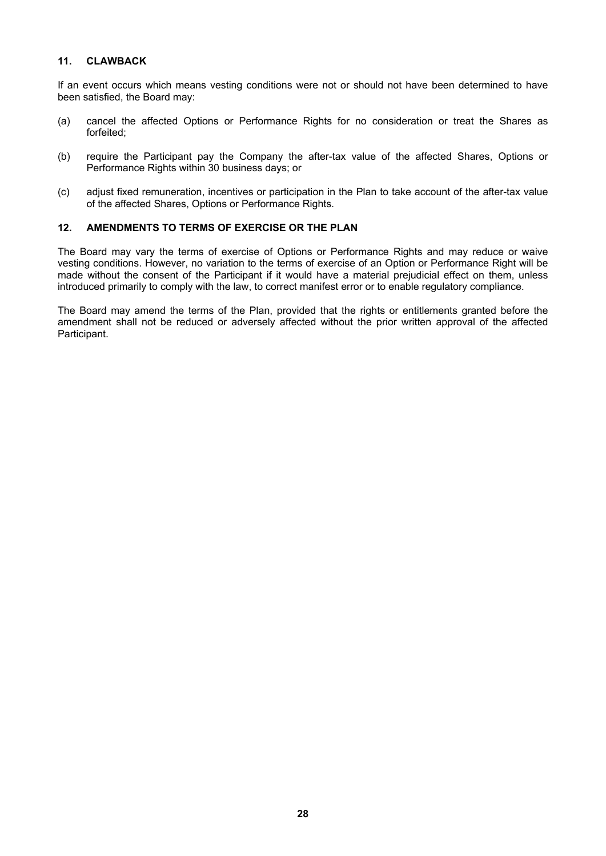# **11. CLAWBACK**

If an event occurs which means vesting conditions were not or should not have been determined to have been satisfied, the Board may:

- (a) cancel the affected Options or Performance Rights for no consideration or treat the Shares as forfeited;
- (b) require the Participant pay the Company the after-tax value of the affected Shares, Options or Performance Rights within 30 business days; or
- (c) adjust fixed remuneration, incentives or participation in the Plan to take account of the after-tax value of the affected Shares, Options or Performance Rights.

# **12. AMENDMENTS TO TERMS OF EXERCISE OR THE PLAN**

The Board may vary the terms of exercise of Options or Performance Rights and may reduce or waive vesting conditions. However, no variation to the terms of exercise of an Option or Performance Right will be made without the consent of the Participant if it would have a material prejudicial effect on them, unless introduced primarily to comply with the law, to correct manifest error or to enable regulatory compliance.

The Board may amend the terms of the Plan, provided that the rights or entitlements granted before the amendment shall not be reduced or adversely affected without the prior written approval of the affected Participant.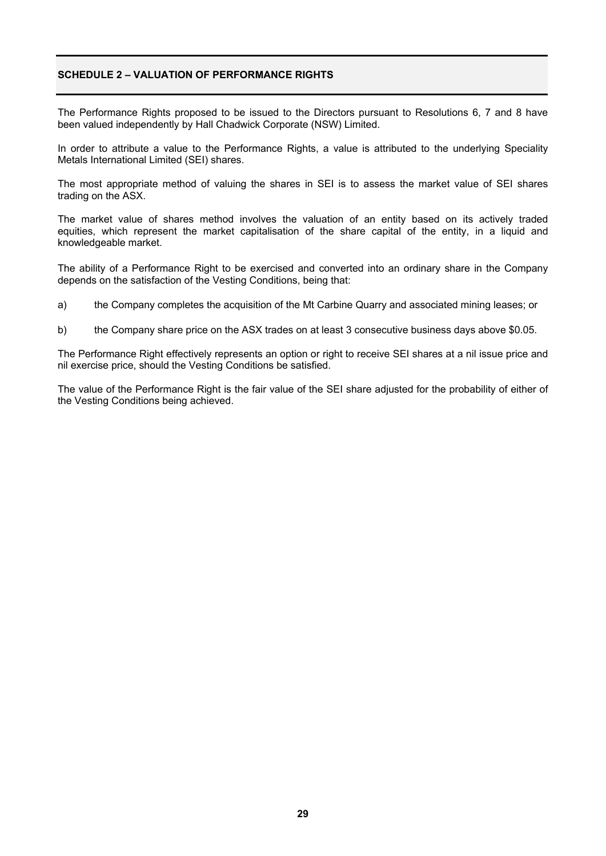# **SCHEDULE 2 – VALUATION OF PERFORMANCE RIGHTS**

The Performance Rights proposed to be issued to the Directors pursuant to Resolutions 6, 7 and 8 have been valued independently by Hall Chadwick Corporate (NSW) Limited.

In order to attribute a value to the Performance Rights, a value is attributed to the underlying Speciality Metals International Limited (SEI) shares.

The most appropriate method of valuing the shares in SEI is to assess the market value of SEI shares trading on the ASX.

The market value of shares method involves the valuation of an entity based on its actively traded equities, which represent the market capitalisation of the share capital of the entity, in a liquid and knowledgeable market.

The ability of a Performance Right to be exercised and converted into an ordinary share in the Company depends on the satisfaction of the Vesting Conditions, being that:

a) the Company completes the acquisition of the Mt Carbine Quarry and associated mining leases; or

b) the Company share price on the ASX trades on at least 3 consecutive business days above \$0.05.

The Performance Right effectively represents an option or right to receive SEI shares at a nil issue price and nil exercise price, should the Vesting Conditions be satisfied.

The value of the Performance Right is the fair value of the SEI share adjusted for the probability of either of the Vesting Conditions being achieved.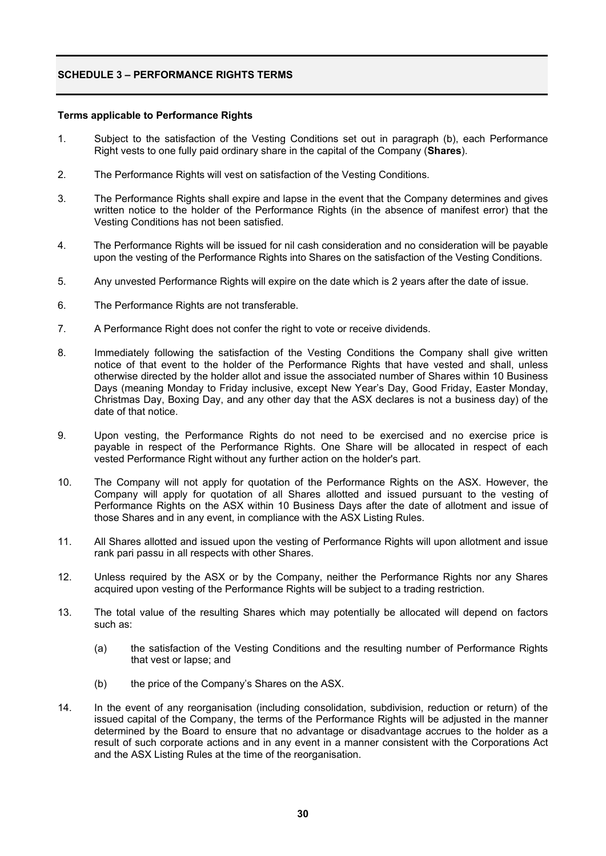# **SCHEDULE 3 – PERFORMANCE RIGHTS TERMS**

#### **Terms applicable to Performance Rights**

- 1. Subject to the satisfaction of the Vesting Conditions set out in paragraph (b), each Performance Right vests to one fully paid ordinary share in the capital of the Company (**Shares**).
- 2. The Performance Rights will vest on satisfaction of the Vesting Conditions.
- 3. The Performance Rights shall expire and lapse in the event that the Company determines and gives written notice to the holder of the Performance Rights (in the absence of manifest error) that the Vesting Conditions has not been satisfied.
- 4. The Performance Rights will be issued for nil cash consideration and no consideration will be payable upon the vesting of the Performance Rights into Shares on the satisfaction of the Vesting Conditions.
- 5. Any unvested Performance Rights will expire on the date which is 2 years after the date of issue.
- 6. The Performance Rights are not transferable.
- 7. A Performance Right does not confer the right to vote or receive dividends.
- 8. Immediately following the satisfaction of the Vesting Conditions the Company shall give written notice of that event to the holder of the Performance Rights that have vested and shall, unless otherwise directed by the holder allot and issue the associated number of Shares within 10 Business Days (meaning Monday to Friday inclusive, except New Year's Day, Good Friday, Easter Monday, Christmas Day, Boxing Day, and any other day that the ASX declares is not a business day) of the date of that notice.
- 9. Upon vesting, the Performance Rights do not need to be exercised and no exercise price is payable in respect of the Performance Rights. One Share will be allocated in respect of each vested Performance Right without any further action on the holder's part.
- 10. The Company will not apply for quotation of the Performance Rights on the ASX. However, the Company will apply for quotation of all Shares allotted and issued pursuant to the vesting of Performance Rights on the ASX within 10 Business Days after the date of allotment and issue of those Shares and in any event, in compliance with the ASX Listing Rules.
- 11. All Shares allotted and issued upon the vesting of Performance Rights will upon allotment and issue rank pari passu in all respects with other Shares.
- 12. Unless required by the ASX or by the Company, neither the Performance Rights nor any Shares acquired upon vesting of the Performance Rights will be subject to a trading restriction.
- 13. The total value of the resulting Shares which may potentially be allocated will depend on factors such as:
	- (a) the satisfaction of the Vesting Conditions and the resulting number of Performance Rights that vest or lapse; and
	- (b) the price of the Company's Shares on the ASX.
- 14. In the event of any reorganisation (including consolidation, subdivision, reduction or return) of the issued capital of the Company, the terms of the Performance Rights will be adjusted in the manner determined by the Board to ensure that no advantage or disadvantage accrues to the holder as a result of such corporate actions and in any event in a manner consistent with the Corporations Act and the ASX Listing Rules at the time of the reorganisation.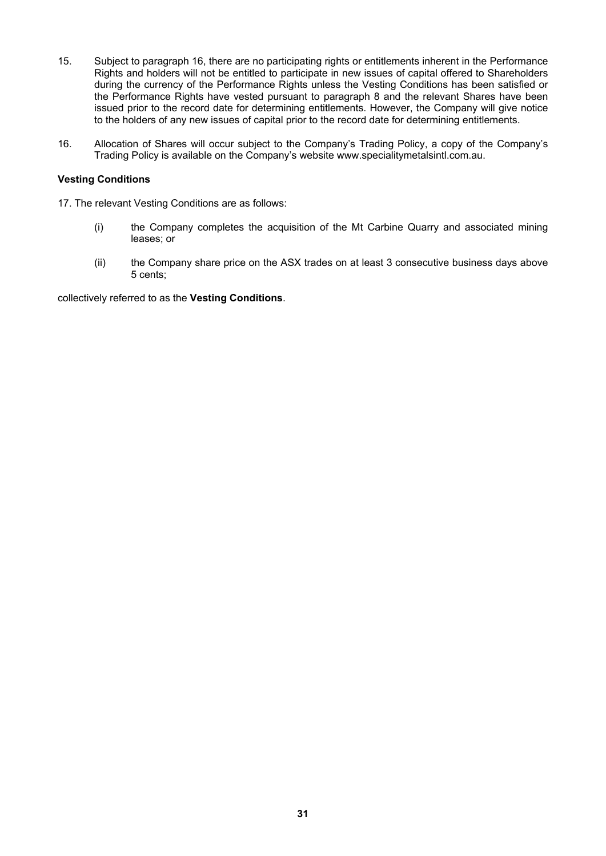- 15. Subject to paragraph 16, there are no participating rights or entitlements inherent in the Performance Rights and holders will not be entitled to participate in new issues of capital offered to Shareholders during the currency of the Performance Rights unless the Vesting Conditions has been satisfied or the Performance Rights have vested pursuant to paragraph 8 and the relevant Shares have been issued prior to the record date for determining entitlements. However, the Company will give notice to the holders of any new issues of capital prior to the record date for determining entitlements.
- 16. Allocation of Shares will occur subject to the Company's Trading Policy, a copy of the Company's Trading Policy is available on the Company's website www.specialitymetalsintl.com.au.

# **Vesting Conditions**

- 17. The relevant Vesting Conditions are as follows:
	- (i) the Company completes the acquisition of the Mt Carbine Quarry and associated mining leases; or
	- (ii) the Company share price on the ASX trades on at least 3 consecutive business days above 5 cents;

collectively referred to as the **Vesting Conditions**.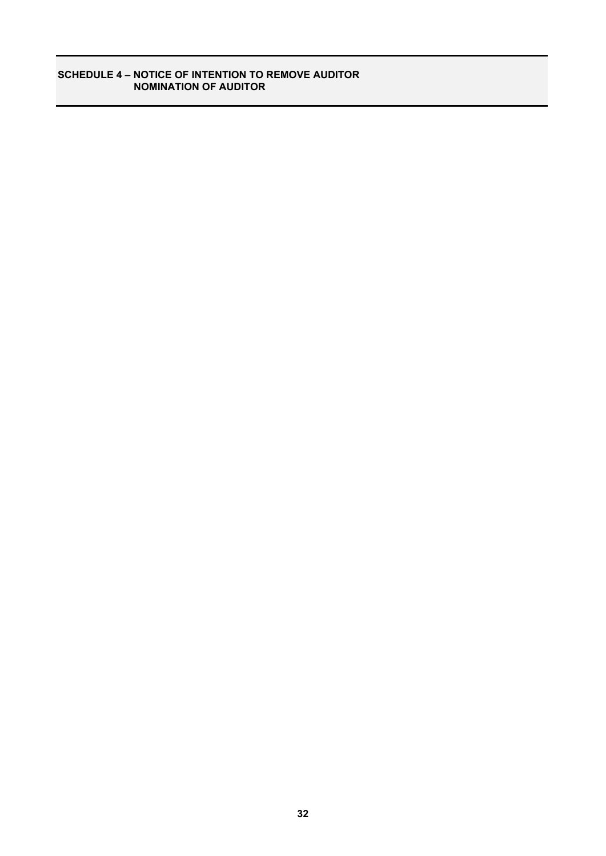# **SCHEDULE 4 – NOTICE OF INTENTION TO REMOVE AUDITOR NOMINATION OF AUDITOR**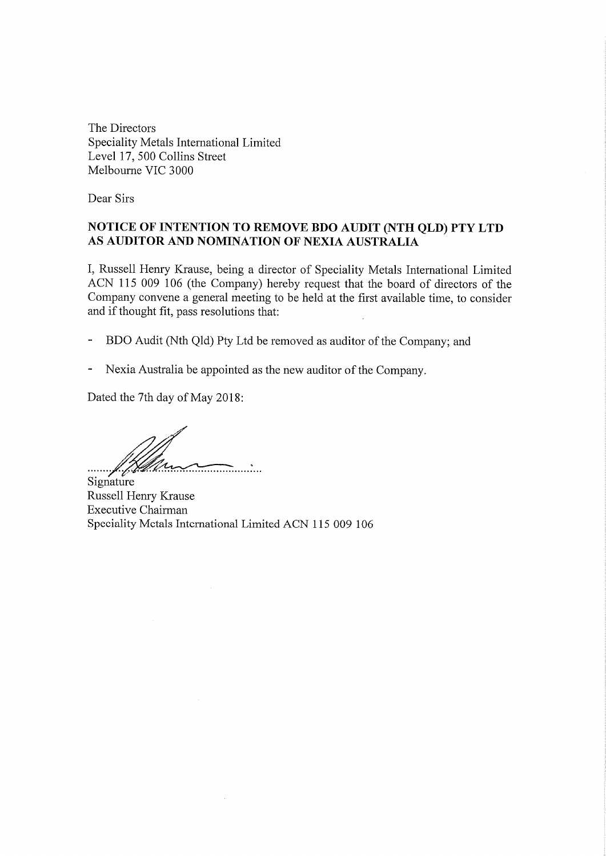The Directors Speciality Metals International Limited Level 17, 500 Collins Street Melbourne VIC 3000

Dear Sirs

# NOTICE OF INTENTION TO REMOVE BDO AUDIT (NTH QLD) PTY LTD AS AUDITOR AND NOMINATION OF NEXIA AUSTRALIA

I, Russell Henry Krause, being a director of Speciality Metals International Limited ACN 115 009 106 (the Company) hereby request that the board of directors of the Company convene a general meeting to be held at the first available time, to consider and if thought fit, pass resolutions that:

- BDO Audit (Nth Qld) Pty Ltd be removed as auditor of the Company; and
- Nexia Australia be appointed as the new auditor of the Company.  $\overline{\phantom{a}}$

Dated the 7th day of May 2018:

f Hllen

Signature Russell Henry Krause **Executive Chairman** Speciality Metals International Limited ACN 115 009 106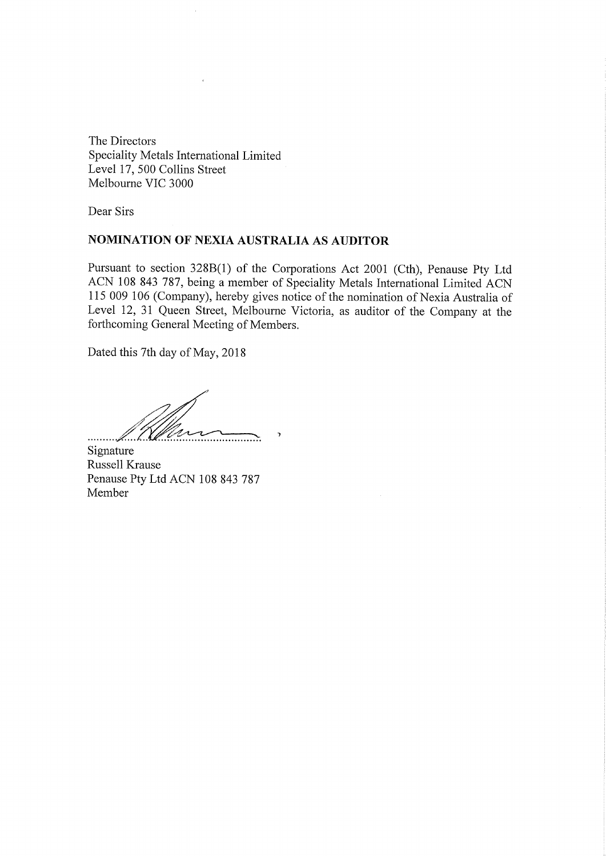The Directors Speciality Metals International Limited Level 17, 500 Collins Street Melbourne VIC 3000

 $\epsilon$ 

Dear Sirs

# NOMINATION OF NEXIA AUSTRALIA AS AUDITOR

Pursuant to section 328B(1) of the Corporations Act 2001 (Cth), Penause Pty Ltd ACN 108 843 787, being a member of Speciality Metals International Limited ACN 115 009 106 (Company), hereby gives notice of the nomination of Nexia Australia of Level 12, 31 Queen Street, Melbourne Victoria, as auditor of the Company at the forthcoming General Meeting of Members.

 $\gamma$ 

 $\bar{\mathcal{A}}$ 

Dated this 7th day of May, 2018

Nous

Signature Russell Krause Penause Pty Ltd ACN 108 843 787 Member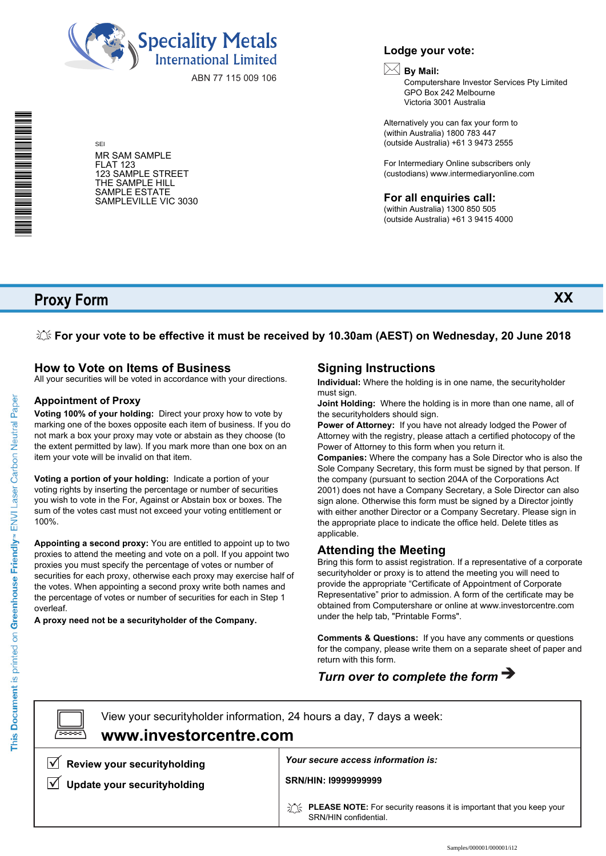

ABN 77 115 009 106

MR SAM SAMPLE FLAT 123 123 SAMPLE STREET THE SAMPLE HILL SAMPLE ESTATE SAMPLEVILLE VIC 3030

SEI

# **Lodge your vote:**

# **By Mail:**

Computershare Investor Services Pty Limited GPO Box 242 Melbourne Victoria 3001 Australia

**XX**

Alternatively you can fax your form to (within Australia) 1800 783 447 (outside Australia) +61 3 9473 2555

For Intermediary Online subscribers only (custodians) www.intermediaryonline.com

**For all enquiries call:**

(within Australia) 1300 850 505 (outside Australia) +61 3 9415 4000

# **Proxy Form**

**For your vote to be effective it must be received by 10.30am (AEST) on Wednesday, 20 June 2018**

# **How to Vote on Items of Business**

All your securities will be voted in accordance with your directions.

# **Appointment of Proxy**

**Voting 100% of your holding:** Direct your proxy how to vote by marking one of the boxes opposite each item of business. If you do not mark a box your proxy may vote or abstain as they choose (to the extent permitted by law). If you mark more than one box on an item your vote will be invalid on that item.

**Voting a portion of your holding:** Indicate a portion of your voting rights by inserting the percentage or number of securities you wish to vote in the For, Against or Abstain box or boxes. The sum of the votes cast must not exceed your voting entitlement or 100%.

**Appointing a second proxy:** You are entitled to appoint up to two proxies to attend the meeting and vote on a poll. If you appoint two proxies you must specify the percentage of votes or number of securities for each proxy, otherwise each proxy may exercise half of the votes. When appointing a second proxy write both names and the percentage of votes or number of securities for each in Step 1 overleaf.

**A proxy need not be a securityholder of the Company.**

# **Signing Instructions**

**Individual:** Where the holding is in one name, the securityholder must sign.

**Joint Holding:** Where the holding is in more than one name, all of the securityholders should sign.

**Power of Attorney:** If you have not already lodged the Power of Attorney with the registry, please attach a certified photocopy of the Power of Attorney to this form when you return it.

**Companies:** Where the company has a Sole Director who is also the Sole Company Secretary, this form must be signed by that person. If the company (pursuant to section 204A of the Corporations Act 2001) does not have a Company Secretary, a Sole Director can also sign alone. Otherwise this form must be signed by a Director jointly with either another Director or a Company Secretary. Please sign in the appropriate place to indicate the office held. Delete titles as applicable.

# **Attending the Meeting**

Bring this form to assist registration. If a representative of a corporate securityholder or proxy is to attend the meeting you will need to provide the appropriate "Certificate of Appointment of Corporate Representative" prior to admission. A form of the certificate may be obtained from Computershare or online at www.investorcentre.com under the help tab, "Printable Forms".

**Comments & Questions:** If you have any comments or questions for the company, please write them on a separate sheet of paper and return with this form.

# *Turn over to complete the form*

 $\boxed{\square}$ 

**www.investorcentre.com** View your securityholder information, 24 hours a day, 7 days a week:

**Review your securityholding**

**V** Update your securityholding

*Your secure access information is:*

**SRN/HIN: I9999999999**

**PLEASE NOTE:** For security reasons it is important that you keep your SRN/HIN confidential.